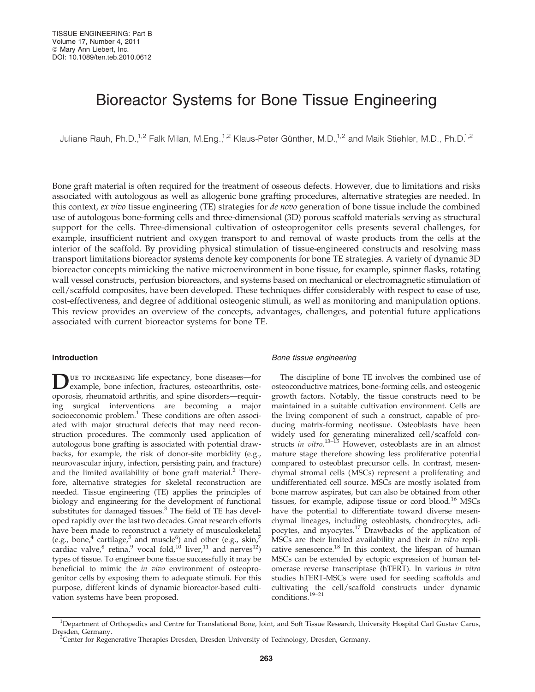# Bioreactor Systems for Bone Tissue Engineering

Juliane Rauh, Ph.D.,<sup>1,2</sup> Falk Milan, M.Eng.,<sup>1,2</sup> Klaus-Peter Günther, M.D.,<sup>1,2</sup> and Maik Stiehler, M.D., Ph.D.<sup>1,2</sup>

Bone graft material is often required for the treatment of osseous defects. However, due to limitations and risks associated with autologous as well as allogenic bone grafting procedures, alternative strategies are needed. In this context, ex vivo tissue engineering (TE) strategies for *de novo* generation of bone tissue include the combined use of autologous bone-forming cells and three-dimensional (3D) porous scaffold materials serving as structural support for the cells. Three-dimensional cultivation of osteoprogenitor cells presents several challenges, for example, insufficient nutrient and oxygen transport to and removal of waste products from the cells at the interior of the scaffold. By providing physical stimulation of tissue-engineered constructs and resolving mass transport limitations bioreactor systems denote key components for bone TE strategies. A variety of dynamic 3D bioreactor concepts mimicking the native microenvironment in bone tissue, for example, spinner flasks, rotating wall vessel constructs, perfusion bioreactors, and systems based on mechanical or electromagnetic stimulation of cell/scaffold composites, have been developed. These techniques differ considerably with respect to ease of use, cost-effectiveness, and degree of additional osteogenic stimuli, as well as monitoring and manipulation options. This review provides an overview of the concepts, advantages, challenges, and potential future applications associated with current bioreactor systems for bone TE.

## Introduction

DUE TO INCREASING life expectancy, bone diseases—for example, bone infection, fractures, osteoarthritis, osteoporosis, rheumatoid arthritis, and spine disorders—requiring surgical interventions are becoming a major socioeconomic problem.<sup>1</sup> These conditions are often associated with major structural defects that may need reconstruction procedures. The commonly used application of autologous bone grafting is associated with potential drawbacks, for example, the risk of donor-site morbidity (e.g., neurovascular injury, infection, persisting pain, and fracture) and the limited availability of bone graft material.<sup>2</sup> Therefore, alternative strategies for skeletal reconstruction are needed. Tissue engineering (TE) applies the principles of biology and engineering for the development of functional substitutes for damaged tissues.<sup>3</sup> The field of TE has developed rapidly over the last two decades. Great research efforts have been made to reconstruct a variety of musculoskeletal (e.g., bone,<sup>4</sup> cartilage,<sup>5</sup> and muscle<sup>6</sup>) and other (e.g., skin,<sup>7</sup>) cardiac valve, <sup>8</sup> retina, <sup>9</sup> vocal fold,<sup>10</sup> liver,<sup>11</sup> and nerves<sup>12</sup>) types of tissue. To engineer bone tissue successfully it may be beneficial to mimic the in vivo environment of osteoprogenitor cells by exposing them to adequate stimuli. For this purpose, different kinds of dynamic bioreactor-based cultivation systems have been proposed.

#### Bone tissue engineering

The discipline of bone TE involves the combined use of osteoconductive matrices, bone-forming cells, and osteogenic growth factors. Notably, the tissue constructs need to be maintained in a suitable cultivation environment. Cells are the living component of such a construct, capable of producing matrix-forming neotissue. Osteoblasts have been widely used for generating mineralized cell/scaffold constructs *in vitro*.<sup>13–15</sup> However, osteoblasts are in an almost mature stage therefore showing less proliferative potential compared to osteoblast precursor cells. In contrast, mesenchymal stromal cells (MSCs) represent a proliferating and undifferentiated cell source. MSCs are mostly isolated from bone marrow aspirates, but can also be obtained from other tissues, for example, adipose tissue or cord blood.<sup>16</sup> MSCs have the potential to differentiate toward diverse mesenchymal lineages, including osteoblasts, chondrocytes, adipocytes, and myocytes.<sup>17</sup> Drawbacks of the application of MSCs are their limited availability and their in vitro replicative senescence.<sup>18</sup> In this context, the lifespan of human MSCs can be extended by ectopic expression of human telomerase reverse transcriptase (hTERT). In various in vitro studies hTERT-MSCs were used for seeding scaffolds and cultivating the cell/scaffold constructs under dynamic conditions.19–21

<sup>&</sup>lt;sup>1</sup>Department of Orthopedics and Centre for Translational Bone, Joint, and Soft Tissue Research, University Hospital Carl Gustav Carus, Dresden, Germany. <sup>2</sup>

<sup>&</sup>lt;sup>2</sup>Center for Regenerative Therapies Dresden, Dresden University of Technology, Dresden, Germany.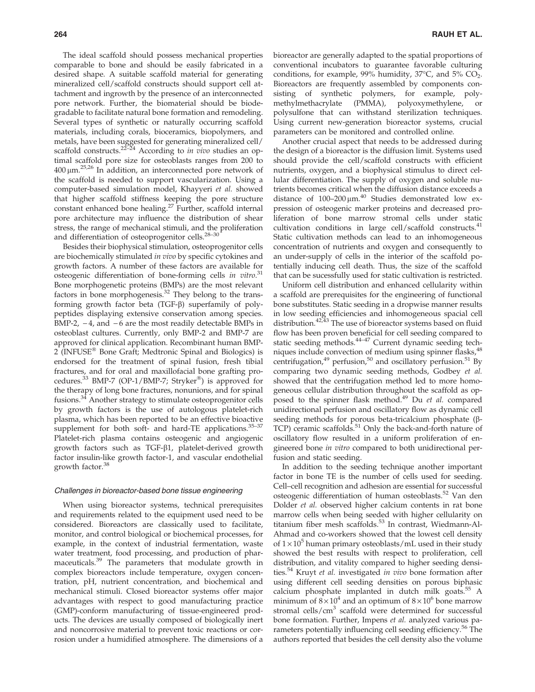The ideal scaffold should possess mechanical properties comparable to bone and should be easily fabricated in a desired shape. A suitable scaffold material for generating mineralized cell/scaffold constructs should support cell attachment and ingrowth by the presence of an interconnected pore network. Further, the biomaterial should be biodegradable to facilitate natural bone formation and remodeling. Several types of synthetic or naturally occurring scaffold materials, including corals, bioceramics, biopolymers, and metals, have been suggested for generating mineralized cell/ scaffold constructs.<sup>22–24</sup> According to *in vivo* studies an optimal scaffold pore size for osteoblasts ranges from 200 to  $400 \mu m$ .<sup>25,26</sup> In addition, an interconnected pore network of the scaffold is needed to support vascularization. Using a computer-based simulation model, Khayyeri et al. showed that higher scaffold stiffness keeping the pore structure constant enhanced bone healing.<sup>27</sup> Further, scaffold internal pore architecture may influence the distribution of shear stress, the range of mechanical stimuli, and the proliferation and differentiation of osteoprogenitor cells.<sup>28–30</sup>

Besides their biophysical stimulation, osteoprogenitor cells are biochemically stimulated in vivo by specific cytokines and growth factors. A number of these factors are available for osteogenic differentiation of bone-forming cells in vitro.<sup>31</sup> Bone morphogenetic proteins (BMPs) are the most relevant factors in bone morphogenesis.<sup>32</sup> They belong to the transforming growth factor beta  $(TGF- $\beta$ ) superfamily of poly$ peptides displaying extensive conservation among species. BMP-2,  $-4$ , and  $-6$  are the most readily detectable BMPs in osteoblast cultures. Currently, only BMP-2 and BMP-7 are approved for clinical application. Recombinant human BMP-2 (INFUSE<sup>®</sup> Bone Graft; Medtronic Spinal and Biologics) is endorsed for the treatment of spinal fusion, fresh tibial fractures, and for oral and maxillofacial bone grafting procedures.<sup>33</sup> BMP-7 (OP-1/BMP-7; Stryker®) is approved for the therapy of long bone fractures, nonunions, and for spinal fusions.<sup>34</sup> Another strategy to stimulate osteoprogenitor cells by growth factors is the use of autologous platelet-rich plasma, which has been reported to be an effective bioactive supplement for both soft- and hard-TE applications.<sup>35-37</sup> Platelet-rich plasma contains osteogenic and angiogenic growth factors such as TGF- $\beta$ 1, platelet-derived growth factor insulin-like growth factor-1, and vascular endothelial growth factor.<sup>38</sup>

#### Challenges in bioreactor-based bone tissue engineering

When using bioreactor systems, technical prerequisites and requirements related to the equipment used need to be considered. Bioreactors are classically used to facilitate, monitor, and control biological or biochemical processes, for example, in the context of industrial fermentation, waste water treatment, food processing, and production of pharmaceuticals.<sup>39</sup> The parameters that modulate growth in complex bioreactors include temperature, oxygen concentration, pH, nutrient concentration, and biochemical and mechanical stimuli. Closed bioreactor systems offer major advantages with respect to good manufacturing practice (GMP)-conform manufacturing of tissue-engineered products. The devices are usually composed of biologically inert and noncorrosive material to prevent toxic reactions or corrosion under a humidified atmosphere. The dimensions of a bioreactor are generally adapted to the spatial proportions of conventional incubators to guarantee favorable culturing conditions, for example, 99% humidity,  $37^{\circ}$ C, and  $5\%$  CO<sub>2</sub>. Bioreactors are frequently assembled by components consisting of synthetic polymers, for example, polymethylmethacrylate (PMMA), polyoxymethylene, polysulfone that can withstand sterilization techniques. Using current new-generation bioreactor systems, crucial parameters can be monitored and controlled online.

Another crucial aspect that needs to be addressed during the design of a bioreactor is the diffusion limit. Systems used should provide the cell/scaffold constructs with efficient nutrients, oxygen, and a biophysical stimulus to direct cellular differentiation. The supply of oxygen and soluble nutrients becomes critical when the diffusion distance exceeds a distance of  $100-200 \mu m$ .<sup>40</sup> Studies demonstrated low expression of osteogenic marker proteins and decreased proliferation of bone marrow stromal cells under static cultivation conditions in large cell/scaffold constructs. $41$ Static cultivation methods can lead to an inhomogeneous concentration of nutrients and oxygen and consequently to an under-supply of cells in the interior of the scaffold potentially inducing cell death. Thus, the size of the scaffold that can be sucessfully used for static cultivation is restricted.

Uniform cell distribution and enhanced cellularity within a scaffold are prerequisites for the engineering of functional bone substitutes. Static seeding in a dropwise manner results in low seeding efficiencies and inhomogeneous spacial cell distribution.<sup>42,43</sup> The use of bioreactor systems based on fluid flow has been proven beneficial for cell seeding compared to static seeding methods.<sup>44-47</sup> Current dynamic seeding techniques include convection of medium using spinner flasks, <sup>48</sup> centrifugation, $49$  perfusion, $50$  and oscillatory perfusion. $51$  By comparing two dynamic seeding methods, Godbey et al. showed that the centrifugation method led to more homogeneous cellular distribution throughout the scaffold as opposed to the spinner flask method.<sup>49</sup> Du et al. compared unidirectional perfusion and oscillatory flow as dynamic cell seeding methods for porous beta-tricalcium phosphate (b-TCP) ceramic scaffolds.<sup>51</sup> Only the back-and-forth nature of oscillatory flow resulted in a uniform proliferation of engineered bone in vitro compared to both unidirectional perfusion and static seeding.

In addition to the seeding technique another important factor in bone TE is the number of cells used for seeding. Cell–cell recognition and adhesion are essential for successful osteogenic differentiation of human osteoblasts.<sup>52</sup> Van den Dolder et al. observed higher calcium contents in rat bone marrow cells when being seeded with higher cellularity on titanium fiber mesh scaffolds.<sup>53</sup> In contrast, Wiedmann-Al-Ahmad and co-workers showed that the lowest cell density of  $1 \times 10^5$  human primary osteoblasts/mL used in their study showed the best results with respect to proliferation, cell distribution, and vitality compared to higher seeding densities.<sup>54</sup> Kruyt et al. investigated in vivo bone formation after using different cell seeding densities on porous biphasic calcium phosphate implanted in dutch milk goats.<sup>55</sup> A minimum of  $8 \times 10^4$  and an optimum of  $8 \times 10^6$  bone marrow stromal cells/ $\text{cm}^3$  scaffold were determined for successful bone formation. Further, Impens et al. analyzed various parameters potentially influencing cell seeding efficiency.<sup>56</sup> The authors reported that besides the cell density also the volume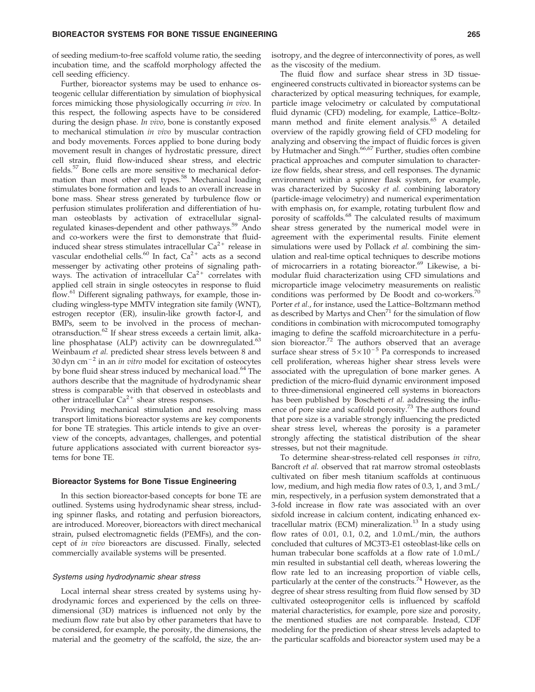of seeding medium-to-free scaffold volume ratio, the seeding incubation time, and the scaffold morphology affected the cell seeding efficiency.

Further, bioreactor systems may be used to enhance osteogenic cellular differentiation by simulation of biophysical forces mimicking those physiologically occurring in vivo. In this respect, the following aspects have to be considered during the design phase. In vivo, bone is constantly exposed to mechanical stimulation in vivo by muscular contraction and body movements. Forces applied to bone during body movement result in changes of hydrostatic pressure, direct cell strain, fluid flow-induced shear stress, and electric fields.<sup>57</sup> Bone cells are more sensitive to mechanical deformation than most other cell types.<sup>58</sup> Mechanical loading stimulates bone formation and leads to an overall increase in bone mass. Shear stress generated by turbulence flow or perfusion stimulates proliferation and differentiation of human osteoblasts by activation of extracellular signalregulated kinases-dependent and other pathways.<sup>59</sup> Ando and co-workers were the first to demonstrate that fluidinduced shear stress stimulates intracellular  $Ca^{2+}$  release in vascular endothelial cells.<sup>60</sup> In fact,  $Ca^{2+}$  acts as a second messenger by activating other proteins of signaling pathways. The activation of intracellular  $Ca^{2+}$  correlates with applied cell strain in single osteocytes in response to fluid flow.<sup>61</sup> Different signaling pathways, for example, those including wingless-type MMTV integration site family (WNT), estrogen receptor (ER), insulin-like growth factor-I, and BMPs, seem to be involved in the process of mechanotransduction.<sup>62</sup> If shear stress exceeds a certain limit, alkaline phosphatase (ALP) activity can be downregulated. $63$ Weinbaum et al. predicted shear stress levels between 8 and  $30 \,\text{dyn cm}^{-2}$  in an *in vitro* model for excitation of osteocytes by bone fluid shear stress induced by mechanical load.<sup>64</sup> The authors describe that the magnitude of hydrodynamic shear stress is comparable with that observed in osteoblasts and other intracellular  $Ca^{2+}$  shear stress responses.

Providing mechanical stimulation and resolving mass transport limitations bioreactor systems are key components for bone TE strategies. This article intends to give an overview of the concepts, advantages, challenges, and potential future applications associated with current bioreactor systems for bone TE.

#### Bioreactor Systems for Bone Tissue Engineering

In this section bioreactor-based concepts for bone TE are outlined. Systems using hydrodynamic shear stress, including spinner flasks, and rotating and perfusion bioreactors, are introduced. Moreover, bioreactors with direct mechanical strain, pulsed electromagnetic fields (PEMFs), and the concept of in vivo bioreactors are discussed. Finally, selected commercially available systems will be presented.

#### Systems using hydrodynamic shear stress

Local internal shear stress created by systems using hydrodynamic forces and experienced by the cells on threedimensional (3D) matrices is influenced not only by the medium flow rate but also by other parameters that have to be considered, for example, the porosity, the dimensions, the material and the geometry of the scaffold, the size, the anisotropy, and the degree of interconnectivity of pores, as well as the viscosity of the medium.

The fluid flow and surface shear stress in 3D tissueengineered constructs cultivated in bioreactor systems can be characterized by optical measuring techniques, for example, particle image velocimetry or calculated by computational fluid dynamic (CFD) modeling, for example, Lattice–Boltzmann method and finite element analysis.<sup>65</sup> A detailed overview of the rapidly growing field of CFD modeling for analyzing and observing the impact of fluidic forces is given by Hutmacher and Singh.<sup>66,67</sup> Further, studies often combine practical approaches and computer simulation to characterize flow fields, shear stress, and cell responses. The dynamic environment within a spinner flask system, for example, was characterized by Sucosky et al. combining laboratory (particle-image velocimetry) and numerical experimentation with emphasis on, for example, rotating turbulent flow and porosity of scaffolds.<sup>68</sup> The calculated results of maximum shear stress generated by the numerical model were in agreement with the experimental results. Finite element simulations were used by Pollack *et al.* combining the simulation and real-time optical techniques to describe motions of microcarriers in a rotating bioreactor.<sup>69</sup> Likewise, a bimodular fluid characterization using CFD simulations and microparticle image velocimetry measurements on realistic conditions was performed by De Boodt and co-workers.<sup>70</sup> Porter et al., for instance, used the Lattice–Boltzmann method as described by Martys and  $Chen<sup>71</sup>$  for the simulation of flow conditions in combination with microcomputed tomography imaging to define the scaffold microarchitecture in a perfusion bioreactor.<sup>72</sup> The authors observed that an average surface shear stress of  $5 \times 10^{-5}$  Pa corresponds to increased cell proliferation, whereas higher shear stress levels were associated with the upregulation of bone marker genes. A prediction of the micro-fluid dynamic environment imposed to three-dimensional engineered cell systems in bioreactors has been published by Boschetti et al. addressing the influence of pore size and scaffold porosity.<sup>73</sup> The authors found that pore size is a variable strongly influencing the predicted shear stress level, whereas the porosity is a parameter strongly affecting the statistical distribution of the shear stresses, but not their magnitude.

To determine shear-stress-related cell responses in vitro, Bancroft et al. observed that rat marrow stromal osteoblasts cultivated on fiber mesh titanium scaffolds at continuous low, medium, and high media flow rates of 0.3, 1, and 3 mL/ min, respectively, in a perfusion system demonstrated that a 3-fold increase in flow rate was associated with an over sixfold increase in calcium content, indicating enhanced extracellular matrix (ECM) mineralization.<sup>13</sup> In a study using flow rates of 0.01, 0.1, 0.2, and  $1.0 \text{ mL/min}$ , the authors concluded that cultures of MC3T3-E1 osteoblast-like cells on human trabecular bone scaffolds at a flow rate of 1.0 mL/ min resulted in substantial cell death, whereas lowering the flow rate led to an increasing proportion of viable cells, particularly at the center of the constructs.<sup>74</sup> However, as the degree of shear stress resulting from fluid flow sensed by 3D cultivated osteoprogenitor cells is influenced by scaffold material characteristics, for example, pore size and porosity, the mentioned studies are not comparable. Instead, CDF modeling for the prediction of shear stress levels adapted to the particular scaffolds and bioreactor system used may be a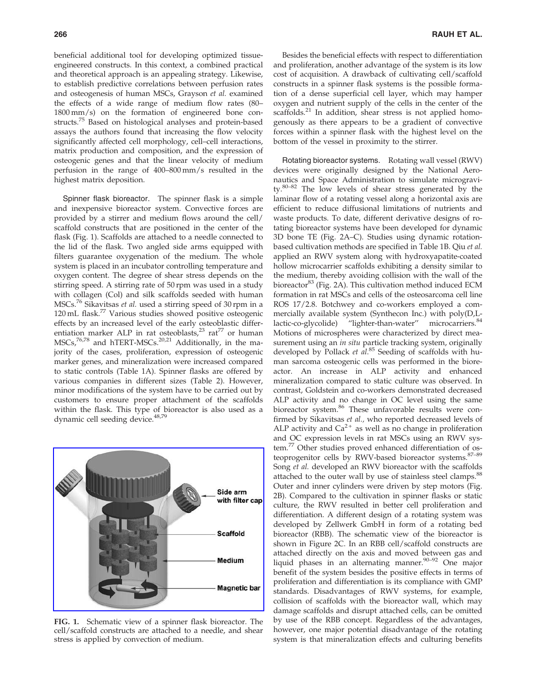beneficial additional tool for developing optimized tissueengineered constructs. In this context, a combined practical and theoretical approach is an appealing strategy. Likewise, to establish predictive correlations between perfusion rates and osteogenesis of human MSCs, Grayson et al. examined the effects of a wide range of medium flow rates (80– 1800 mm/s) on the formation of engineered bone constructs.<sup>75</sup> Based on histological analyses and protein-based assays the authors found that increasing the flow velocity significantly affected cell morphology, cell–cell interactions, matrix production and composition, and the expression of osteogenic genes and that the linear velocity of medium perfusion in the range of 400–800 mm/s resulted in the highest matrix deposition.

Spinner flask bioreactor. The spinner flask is a simple and inexpensive bioreactor system. Convective forces are provided by a stirrer and medium flows around the cell/ scaffold constructs that are positioned in the center of the flask (Fig. 1). Scaffolds are attached to a needle connected to the lid of the flask. Two angled side arms equipped with filters guarantee oxygenation of the medium. The whole system is placed in an incubator controlling temperature and oxygen content. The degree of shear stress depends on the stirring speed. A stirring rate of 50 rpm was used in a study with collagen (Col) and silk scaffolds seeded with human MSCs.<sup>76</sup> Sikavitsas *et al.* used a stirring speed of 30 rpm in a 120 mL flask.77 Various studies showed positive osteogenic effects by an increased level of the early osteoblastic differentiation marker ALP in rat osteoblasts,<sup>23</sup> rat<sup>77</sup> or human MSCs,<sup>76,78</sup> and hTERT-MSCs.<sup>20,21</sup> Additionally, in the majority of the cases, proliferation, expression of osteogenic marker genes, and mineralization were increased compared to static controls (Table 1A). Spinner flasks are offered by various companies in different sizes (Table 2). However, minor modifications of the system have to be carried out by customers to ensure proper attachment of the scaffolds within the flask. This type of bioreactor is also used as a dynamic cell seeding device.<sup>48,79</sup>



FIG. 1. Schematic view of a spinner flask bioreactor. The cell/scaffold constructs are attached to a needle, and shear stress is applied by convection of medium.

Besides the beneficial effects with respect to differentiation and proliferation, another advantage of the system is its low cost of acquisition. A drawback of cultivating cell/scaffold constructs in a spinner flask systems is the possible formation of a dense superficial cell layer, which may hamper oxygen and nutrient supply of the cells in the center of the scaffolds. $^{21}$  In addition, shear stress is not applied homogenously as there appears to be a gradient of convective forces within a spinner flask with the highest level on the bottom of the vessel in proximity to the stirrer.

Rotating bioreactor systems. Rotating wall vessel (RWV) devices were originally designed by the National Aeronautics and Space Administration to simulate microgravity.<sup>80–82</sup> The low levels of shear stress generated by the laminar flow of a rotating vessel along a horizontal axis are efficient to reduce diffusional limitations of nutrients and waste products. To date, different derivative designs of rotating bioreactor systems have been developed for dynamic 3D bone TE (Fig. 2A–C). Studies using dynamic rotationbased cultivation methods are specified in Table 1B. Qiu et al. applied an RWV system along with hydroxyapatite-coated hollow microcarrier scaffolds exhibiting a density similar to the medium, thereby avoiding collision with the wall of the bioreactor<sup>83</sup> (Fig. 2A). This cultivation method induced ECM formation in rat MSCs and cells of the osteosarcoma cell line ROS 17/2.8. Botchwey and co-workers employed a commercially available system (Synthecon Inc.) with poly(D,Llactic-co-glycolide) "lighter-than-water" microcarriers.<sup>84</sup> Motions of microspheres were characterized by direct measurement using an in situ particle tracking system, originally developed by Pollack et al.<sup>85</sup> Seeding of scaffolds with human sarcoma osteogenic cells was performed in the bioreactor. An increase in ALP activity and enhanced mineralization compared to static culture was observed. In contrast, Goldstein and co-workers demonstrated decreased ALP activity and no change in OC level using the same bioreactor system.<sup>86</sup> These unfavorable results were confirmed by Sikavitsas et al., who reported decreased levels of ALP activity and  $Ca^{2+}$  as well as no change in proliferation and OC expression levels in rat MSCs using an RWV system.<sup>77</sup> Other studies proved enhanced differentiation of osteoprogenitor cells by RWV-based bioreactor systems.<sup>87-89</sup> Song *et al.* developed an RWV bioreactor with the scaffolds attached to the outer wall by use of stainless steel clamps.<sup>88</sup> Outer and inner cylinders were driven by step motors (Fig. 2B). Compared to the cultivation in spinner flasks or static culture, the RWV resulted in better cell proliferation and differentiation. A different design of a rotating system was developed by Zellwerk GmbH in form of a rotating bed bioreactor (RBB). The schematic view of the bioreactor is shown in Figure 2C. In an RBB cell/scaffold constructs are attached directly on the axis and moved between gas and liquid phases in an alternating manner.<sup>90-92</sup> One major benefit of the system besides the positive effects in terms of proliferation and differentiation is its compliance with GMP standards. Disadvantages of RWV systems, for example, collision of scaffolds with the bioreactor wall, which may damage scaffolds and disrupt attached cells, can be omitted by use of the RBB concept. Regardless of the advantages, however, one major potential disadvantage of the rotating system is that mineralization effects and culturing benefits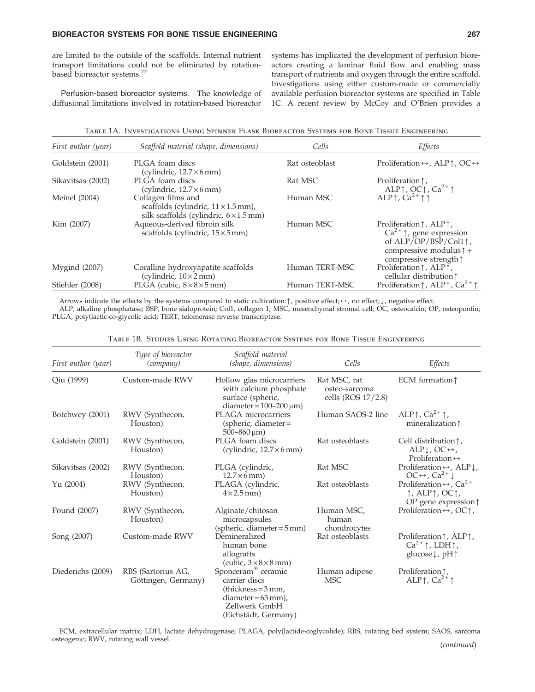are limited to the outside of the scaffolds. Internal nutrient transport limitations could not be eliminated by rotationbased bioreactor systems.<sup>77</sup>

Perfusion-based bioreactor systems. The knowledge of diffusional limitations involved in rotation-based bioreactor systems has implicated the development of perfusion bioreactors creating a laminar fluid flow and enabling mass transport of nutrients and oxygen through the entire scaffold. Investigations using either custom-made or commercially available perfusion bioreactor systems are specified in Table 1C. A recent review by McCoy and O'Brien provides a

|  | Table 1A. Investigations Using Spinner Flask Bioreactor Systems for Bone Tissue Engineering |  |  |  |  |  |  |  |  |
|--|---------------------------------------------------------------------------------------------|--|--|--|--|--|--|--|--|
|--|---------------------------------------------------------------------------------------------|--|--|--|--|--|--|--|--|

| First author (year) | Scaffold material (shape, dimensions)                                                                             | Cells          | Effects                                                                                                                                                                                       |
|---------------------|-------------------------------------------------------------------------------------------------------------------|----------------|-----------------------------------------------------------------------------------------------------------------------------------------------------------------------------------------------|
| Goldstein (2001)    | PLGA foam discs<br>(cylindric, $12.7 \times 6$ mm)                                                                | Rat osteoblast | Proliferation $\leftrightarrow$ , ALP $\uparrow$ , OC $\leftrightarrow$                                                                                                                       |
| Sikavitsas (2002)   | PLGA foam discs<br>(cylindric, $12.7 \times 6$ mm)                                                                | Rat MSC        | Proliferation 1,<br>ALP $\uparrow$ , OC $\uparrow$ , Ca <sup>2+</sup> $\uparrow$                                                                                                              |
| Meinel (2004)       | Collagen films and<br>scaffolds (cylindric, $11 \times 1.5$ mm),<br>silk scaffolds (cylindric, $6 \times 1.5$ mm) | Human MSC      | ALP $\uparrow$ , Ca <sup>2+</sup> $\uparrow \uparrow$                                                                                                                                         |
| Kim (2007)          | Aqueous-derived fibroin silk<br>scaffolds (cylindric, $15 \times 5$ mm)                                           | Human MSC      | Proliferation $\uparrow$ , ALP $\uparrow$ ,<br>$Ca^{2+} \uparrow$ , gene expression<br>of ALP/OP/BSP/Col1 $\uparrow$ ,<br>compressive modulus $\uparrow$ +<br>compressive strength $\uparrow$ |
| Mygind $(2007)$     | Coralline hydroxyapatite scaffolds<br>(cylindric, $10 \times 2$ mm)                                               | Human TERT-MSC | Proliferation $\uparrow$ , ALP $\uparrow$ ,<br>cellular distribution $\uparrow$                                                                                                               |
| Stiehler (2008)     | PLGA (cubic, $8 \times 8 \times 5$ mm)                                                                            | Human TERT-MSC | Proliferation $\uparrow$ , ALP $\uparrow$ , Ca <sup>2+</sup> $\uparrow$                                                                                                                       |

Arrows indicate the effects by the systems compared to static cultivation:  $\uparrow$ , positive effect;  $\leftrightarrow$ , no effect;  $\downarrow$ , negative effect. ALP, alkaline phosphatase; BSP, bone sialoprotein; Col1, collagen 1; MSC, mesenchymal stromal cell; OC, osteocalcin; OP, osteopontin; PLGA, poly(lactic-co-glycolic acid; TERT, telomerase reverse transcriptase.

| First author (year) | Type of bioreactor<br>(company)           | Scaffold material<br>(shape, dimensions)                                                                                     | Cells                                               | Effects                                                                                                                              |
|---------------------|-------------------------------------------|------------------------------------------------------------------------------------------------------------------------------|-----------------------------------------------------|--------------------------------------------------------------------------------------------------------------------------------------|
| Qiu (1999)          | Custom-made RWV                           | Hollow glas microcarriers<br>with calcium phosphate<br>surface (spheric,<br>diameter = $100-200 \mu m$ )                     | Rat MSC, rat<br>osteo-sarcoma<br>cells (ROS 17/2.8) | ECM formation $\uparrow$                                                                                                             |
| Botchwey (2001)     | RWV (Synthecon,<br>Houston)               | PLAGA microcarriers<br>(spheric, diameter =<br>$500 - 860 \,\mu m$ )                                                         | Human SAOS-2 line                                   | ALP $\uparrow$ , Ca <sup>2+</sup> $\uparrow$ ,<br>mineralization 1                                                                   |
| Goldstein (2001)    | RWV (Synthecon,<br>Houston)               | PLGA foam discs<br>(cylindric, $12.7 \times 6$ mm)                                                                           | Rat osteoblasts                                     | Cell distribution $\uparrow$ .<br>$ALP\downarrow$ , OC $\leftrightarrow$ ,<br>Proliferation $\leftrightarrow$                        |
| Sikavitsas (2002)   | RWV (Synthecon,<br>Houston)               | PLGA (cylindric,<br>$12.7\times 6$ mm)                                                                                       | Rat MSC                                             | Proliferation $\leftrightarrow$ , ALP $\downarrow$ ,<br>$OC \leftrightarrow C a^{2+} \downarrow$                                     |
| Yu (2004)           | RWV (Synthecon,<br>Houston)               | PLAGA (cylindric,<br>$4 \times 2.5$ mm)                                                                                      | Rat osteoblasts                                     | Proliferation $\leftrightarrow$ , Ca <sup>2+</sup><br>$\uparrow$ , ALP $\uparrow$ , OC $\uparrow$ ,<br>OP gene expression $\uparrow$ |
| Pound (2007)        | RWV (Synthecon,<br>Houston)               | Alginate/chitosan<br>microcapsules<br>(spheric, diameter = 5 mm)                                                             | Human MSC,<br>human<br>chondrocytes                 | Proliferation $\leftrightarrow$ , OC $\uparrow$ ,                                                                                    |
| Song (2007)         | Custom-made RWV                           | Demineralized<br>human bone<br>allografts<br>(cubic, $3\times8\times8$ mm)                                                   | Rat osteoblasts                                     | Proliferation $\uparrow$ , ALP $\uparrow$ ,<br>$Ca^{2+} \uparrow$ , LDH $\uparrow$ ,<br>glucose $\downarrow$ , pH $\uparrow$         |
| Diederichs (2009)   | RBS (Sartorius AG,<br>Göttingen, Germany) | Sponceram® ceramic<br>carrier discs<br>$(thickness = 3 mm,$<br>$diameter = 65$ mm),<br>Zellwerk GmbH<br>(Eichstädt, Germany) | Human adipose<br><b>MSC</b>                         | Proliferation 1,<br>ALP $\uparrow$ , Ca <sup>2+</sup> $\uparrow$                                                                     |

Table 1B. Studies Using Rotating Bioreactor Systems for Bone Tissue Engineering

ECM, extracellular matrix; LDH, lactate dehydrogenase; PLAGA, poly(lactide-coglycolide); RBS, rotating bed system; SAOS, sarcoma osteogenic; RWV, rotating wall vessel. (continued) (continued)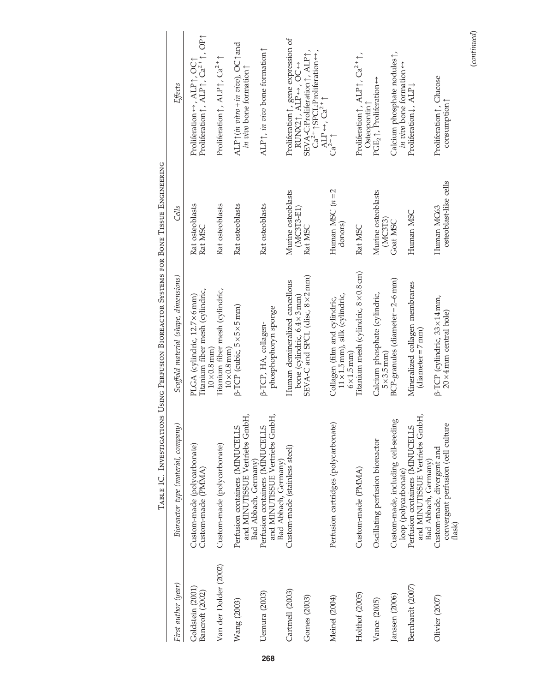|                                     |                                                                                           | LABLE IN VESILICATIONS USING I'EKFUSION DIOKEACIOK SYSTEMS FOK DONE I ISSUE ENGINEEKING      |                                     |                                                                                                                                                                                                               |
|-------------------------------------|-------------------------------------------------------------------------------------------|----------------------------------------------------------------------------------------------|-------------------------------------|---------------------------------------------------------------------------------------------------------------------------------------------------------------------------------------------------------------|
| First author (year)                 | Bioreactor type (material, company)                                                       | Scaffold material (shape, dimensions)                                                        | Cells                               | Effects                                                                                                                                                                                                       |
| Goldstein (2001)<br>Bancroft (2002) | Custom-made (polycarbonate)<br>Custom-made (PMMA)                                         | Titanium fiber mesh (cylindric,<br>PLGA (cylindric, 12.7×6 mm)<br>$10\times0.8$ mm)          | Rat osteoblasts<br>Rat MSC          | Proliferation 1, ALP 1, Ca <sup>2+</sup> 1, OP1<br>Proliferation↔, ALP↑, OC↑                                                                                                                                  |
| Van der Dolder (2002)               | Custom-made (polycarbonate)                                                               | Titanium fiber mesh (cylindric,<br>$10\times0.8$ mm)                                         | Rat osteoblasts                     | Proliferation 1, ALP 1, Ca <sup>2+</sup> 1                                                                                                                                                                    |
| Wang (2003)                         | and MINUTISSUE Vertriebs GmbH,<br>Perfusion containers (MINUCELLS<br>Bad Abbach, Germany) | $\beta$ -TCP (cubic, $5 \times 5 \times 5$ mm)                                               | Rat osteoblasts                     | ALP $\uparrow$ (in vitro + in vivo), OC $\uparrow$ and<br>in vivo bone formation?                                                                                                                             |
| Uemura (2003)                       | and MINUTISSUE Vertriebs GmbH,<br>Perfusion containers (MINUCELLS                         | phosphophoryn sponge<br><b>B-TCP, HA, collagen-</b>                                          | Rat osteoblasts                     | ALP 1, in vivo bone formation 1                                                                                                                                                                               |
| Cartmell (2003)                     | Custom-made (stainless steel)<br>Bad Abbach, Germany)                                     | Human demineralized cancellous                                                               | Murine osteoblasts<br>(MC3T3-E1)    | Proliferation (, gene expression of                                                                                                                                                                           |
| Gomes (2003)                        |                                                                                           | SEVA-C and SPCL (disc, 8×2 mm)<br>bone (cylindric, $6.4 \times 3$ mm)                        | Rat MSC                             | SEVA-C:Proliferation 1, ALP1,<br>$Ca^{2+}$ † SPCL:Proliferation $\leftrightarrow$ ,<br>$RUNX2 \uparrow$ , ALP $\leftrightarrow$ , OC $\leftrightarrow$<br>ALP $\leftrightarrow$ , Ca <sup>2+</sup> $\uparrow$ |
| Meinel (2004)                       | Perfusion cartridges (polycarbonate)                                                      | $11 \times 1.5$ mm), silk (cylindric,<br>Collagen (film and cylindric,<br>$6 \times 1.5$ mm) | Human MSC $(n=2)$<br>donors)        | $Ca^{2+}$ $\uparrow$                                                                                                                                                                                          |
| Holthof (2005)                      | Custom-made (PMMA)                                                                        | Titanium mesh (cylindric, 8 × 0.8 cm)                                                        | Rat MSC                             | Proliferation $\uparrow$ , ALP $\uparrow$ , Ca <sup>2+</sup> $\uparrow$ ,<br>Osteopontin <sup>1</sup>                                                                                                         |
| Vance (2005)                        | Oscillating perfusion bioreactor                                                          | Calcium phosphate (cylindric,<br>$5 \times 3.5$ mm                                           | Murine osteoblasts<br>(MC3T3)       | $PGE_2 \uparrow$ , Proliferation $\leftrightarrow$                                                                                                                                                            |
| Janssen (2006)                      | Custom-made, including cell-seeding<br>loop (polycarbonate)                               | $BCP-$ granules (diameter = $2-6$ mm)                                                        | Goat MSC                            | Calcium phosphate nodules (<br>in vivo bone formation $\leftrightarrow$                                                                                                                                       |
| Bemhardt (2007)                     | and MINUTISSUE Vertriebs GmbH,<br>Perfusion containers (MINUCELLS<br>Bad Abbach, Germany) | Mineralized collagen membranes<br>$(diameter = 7 mm)$                                        | Human MSC                           | Proliferation L, ALP                                                                                                                                                                                          |
| Olivier (2007)                      | convergent perfusion (cell culture<br>Custom-made, divergent and<br>flask)                | $\beta$ -TCP (cylindric, 33 × 14 mm,<br>$20\times 4$ mm central hole)                        | osteoblast-like cells<br>Human MG63 | Proliferation 1, Glucose<br>consumption?                                                                                                                                                                      |

(continued)

Table 1C. Investigations Using Perfusion Bioreactor Systems for Bone Tissue Engineering É Ė É Ć É É  $T$ ABLE  $1C$ . INY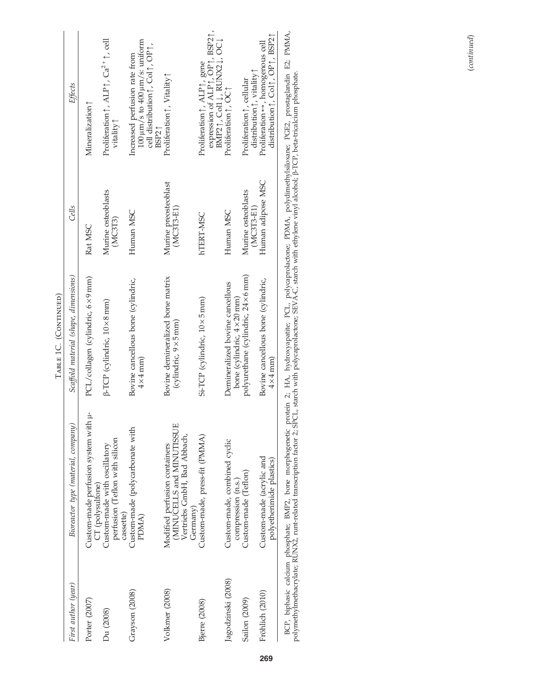|                     |                                                                                                                                                                   | TABLE 1C. (CONTINUED)                                                     |                                      |                                                                                                                                                |
|---------------------|-------------------------------------------------------------------------------------------------------------------------------------------------------------------|---------------------------------------------------------------------------|--------------------------------------|------------------------------------------------------------------------------------------------------------------------------------------------|
| First author (year) | Bioreactor type (material, company)                                                                                                                               | Scaffold material (shape, dimensions)                                     | Cells                                | Effects                                                                                                                                        |
| Porter (2007)       | 圡<br>Custom-made perfusion system with<br>CT (polysulfone)                                                                                                        | PCL/collagen (cylindric, $6 \times 9$ mm)                                 | Rat MSC                              | Mineralization 1                                                                                                                               |
| Du (2008)           | perfusion (Teflon with silicon<br>Custom-made with oscillatory<br>cassette)                                                                                       | β-TCP (cylindric, 10×8 mm)                                                | Murine osteoblasts<br>(MC3T3)        | Proliferation 1, ALP1, Ca <sup>2+</sup> 1, cell<br>vitality?                                                                                   |
| Grayson (2008)      | Custom-made (polycarbonate with<br>PDMA)                                                                                                                          | Bovine cancellous bone (cylindric,<br>$4\times4$ mm)                      | Human MSC                            | $100 \mu m/s$ to $400 \mu m/s$ : uniform<br>cell distribution 1, Col 1, OP1,<br>Increased perfusion rate from<br>BSP <sub>2</sub> <sup>1</sup> |
| Volkmer (2008)      | (MINUCELLS and MINUTISSUE<br>Vertriebs GmbH, Bad Abbach,<br>Modified perfusion containers<br>Germany)                                                             | Bovine demineralized bone matrix<br>$(cylinderic, 9 \times 5 \text{ mm})$ | Murine preosteoblast<br>$(MC3T3-E1)$ | Proliferation 1, Vitality 1                                                                                                                    |
| Bjerre (2008)       | Custom-made, press-fit (PMMA)                                                                                                                                     | Si-TCP (cylindric, 10×5mm)                                                | hTERT-MSC                            | expression of ALP1, OP1, BSP21,<br>$BMP2 \uparrow$ , $Co11 \downarrow$ , $RUNX2 \downarrow$ , $OC \downarrow$<br>Proliferation (, ALP (, gene  |
| Jagodzinski (2008)  | Custom-made, combined cyclic<br>compression (n.s.)                                                                                                                | Demineralized bovine cancellous<br>bone (cylindric, $4 \times 20$ mm)     | Human MSC                            | Proliferation 1, OC1                                                                                                                           |
| Sailon (2009)       | Custom-made (Teflon)                                                                                                                                              | polyurethane (cylindric, 24 ×6 mm)                                        | Murine osteoblasts<br>(MC3T3-E1)     | distribution 1, vitality 1<br>Proliferation (, cellular                                                                                        |
| Fröhlich (2010)     | Custom-made (acrylic and<br>polyetherimide plastics)                                                                                                              | Bovine cancellous bone (cylindric,<br>$4\times4$ mm)                      | Human adipose MSC                    | distribution 1, Col 1, OP1, BSP21<br>Proliferation $\leftrightarrow$ , homogenous cell                                                         |
|                     | BCP binhasic calcium phosphate: BMP2 bone morphosenetic protein 2: HA bydroxyanatite: PCI. polycamolactome: PDMA polycimethylsilovane: PCF2 prostaglandin F2: PMA |                                                                           |                                      |                                                                                                                                                |

BCP, biphasic calcium phosphate; BMP2, bone morphogenetic protein 2; HA, hydroxyapatite; PCL, polycaprolactone; PDMA, polydimethylsiloxane; PGE2, prostaglandin E2; PMMA, EZ; bCr, pipnasic calcium pnospnate; bMr2, bone morphogenenc protein 2; гнА, nydroxyapatie; rCL, polycaprolacione; rDMA, polycumettiyislioxane; rCE2, prostagiandin i<br>polymettiyimethacrylate; RUNX2, runt-related transcription polymethylmethacrylate; RUNX2, runt-related transcription factor 2; SPCL, starch with polycaprolactone; SEVA-C, starch with ethylene vinyl alcohol; b-TCP, beta-tricalcium phosphate.

(continued)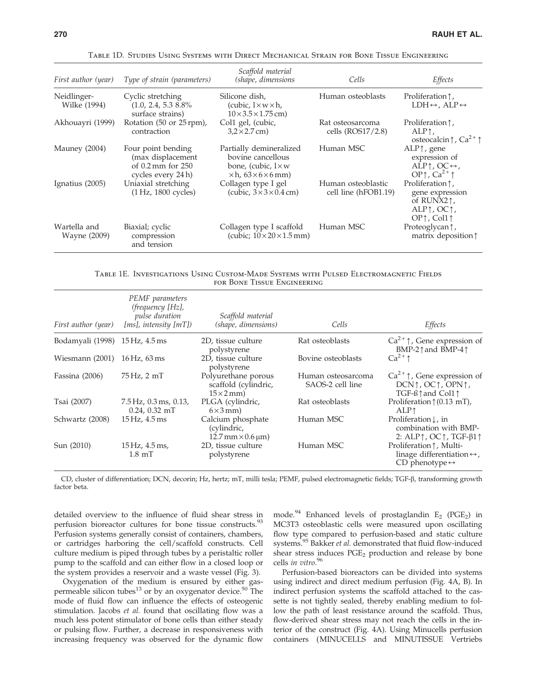| First author (year)          | Type of strain (parameters)                                                            | Scaffold material<br>(shape, dimensions                                                                                 | Cells                                      | Effects                                                                                                                          |
|------------------------------|----------------------------------------------------------------------------------------|-------------------------------------------------------------------------------------------------------------------------|--------------------------------------------|----------------------------------------------------------------------------------------------------------------------------------|
| Neidlinger-<br>Wilke (1994)  | Cyclic stretching<br>$(1.0, 2.4, 5.3, 8.8\%)$<br>surface strains)                      | Silicone dish,<br>(cubic, $1 \times w \times h$ ,<br>$10\times3.5\times1.75$ cm)                                        | Human osteoblasts                          | Proliferation $\uparrow$ ,<br>$LDH \leftrightarrow$ , ALP $\leftrightarrow$                                                      |
| Akhouayri (1999)             | Rotation (50 or 25 rpm),<br>contraction                                                | Col1 gel, (cubic,<br>$3,2 \times 2.7$ cm)                                                                               | Rat osteosarcoma<br>cells (ROS17/2.8)      | Proliferation $\uparrow$ ,<br>$ALP†$ ,<br>osteocalcin $\uparrow$ , Ca <sup>2+</sup> $\uparrow$                                   |
| Mauney (2004)                | Four point bending<br>(max displacement<br>of $0.2$ mm for $250$<br>cycles every 24 h) | Partially demineralized<br>bovine cancellous<br>bone, (cubic, $1 \times w$<br>$\times h$ , 63 $\times$ 6 $\times$ 6 mm) | Human MSC                                  | ALP $\uparrow$ , gene<br>expression of<br>ALP $\uparrow$ , OC $\leftrightarrow$ ,<br>OP $\uparrow$ , Ca <sup>2+</sup> $\uparrow$ |
| Ignatius (2005)              | Uniaxial stretching<br>(1 Hz, 1800 cycles)                                             | Collagen type I gel<br>(cubic, $3 \times 3 \times 0.4$ cm)                                                              | Human osteoblastic<br>cell line (hFOB1.19) | Proliferation $\uparrow$ ,<br>gene expression<br>of RUNX2 $\uparrow$ ,<br>$ALP†$ , OC $†$ ,<br>OP $\uparrow$ , Col $1\uparrow$   |
| Wartella and<br>Wayne (2009) | Biaxial; cyclic<br>compression<br>and tension                                          | Collagen type I scaffold<br>(cubic: $10 \times 20 \times 1.5$ mm)                                                       | Human MSC                                  | Proteoglycan ↑,<br>matrix deposition $\uparrow$                                                                                  |

Table 1D. Studies Using Systems with Direct Mechanical Strain for Bone Tissue Engineering

Table 1E. Investigations Using Custom-Made Systems with Pulsed Electromagnetic Fields for Bone Tissue Engineering

| First author (year)            | <b>PEMF</b> parameters<br>(frequency [Hz],<br><i>pulse</i> duration<br>$[ms]$ , intensity $[mT]$ ) | Scaffold material<br>(shape, dimensions)                                             | Cells                                  | Effects                                                                                                                   |
|--------------------------------|----------------------------------------------------------------------------------------------------|--------------------------------------------------------------------------------------|----------------------------------------|---------------------------------------------------------------------------------------------------------------------------|
| Bodamyali (1998) 15 Hz, 4.5 ms |                                                                                                    | 2D, tissue culture<br>polystyrene                                                    | Rat osteoblasts                        | $Ca^{2+} \uparrow$ , Gene expression of<br>BMP-2 $\uparrow$ and BMP-4 $\uparrow$                                          |
| Wiesmann (2001)                | $16$ Hz, $63$ ms                                                                                   | 2D, tissue culture<br>polystyrene                                                    | Bovine osteoblasts                     | $Ca^{2+} \uparrow$                                                                                                        |
| Fassina $(2006)$               | 75 Hz, 2 mT                                                                                        | Polyurethane porous<br>scaffold (cylindric,<br>$15\times2$ mm)                       | Human osteosarcoma<br>SAOS-2 cell line | $Ca^{2+} \uparrow$ , Gene expression of<br>$DCN†$ , $OC†$ , $OPN†$ ,<br>TGF-ß $\uparrow$ and Col1 $\uparrow$              |
| Tsai (2007)                    | $7.5$ Hz, $0.3$ ms, $0.13$ ,<br>$0.24, 0.32$ mT                                                    | PLGA (cylindric,<br>$6\times3$ mm)                                                   | Rat osteoblasts                        | Proliferation $\uparrow$ (0.13 mT),<br>ALP <sup>†</sup>                                                                   |
| Schwartz (2008)                | $15 \,\mathrm{Hz}$ , $4.5 \,\mathrm{ms}$                                                           | Calcium phosphate<br>(cylindric,<br>$12.7 \text{ mm} \times 0.6 \text{ }\mu\text{m}$ | Human MSC                              | Proliferation $\downarrow$ , in<br>combination with BMP-<br>2: ALP $\uparrow$ , OC $\uparrow$ , TGF- $\beta$ 1 $\uparrow$ |
| Sun (2010)                     | $15 \,\mathrm{Hz}$ , $4.5 \,\mathrm{ms}$ ,<br>$1.8$ mT                                             | 2D, tissue culture<br>polystyrene                                                    | Human MSC                              | Proliferation $\uparrow$ , Multi-<br>linage differentiation $\leftrightarrow$ ,<br>CD phenotype $\leftrightarrow$         |

CD, cluster of differentiation; DCN, decorin; Hz, hertz; mT, milli tesla; PEMF, pulsed electromagnetic fields; TGF-b, transforming growth factor beta.

detailed overview to the influence of fluid shear stress in perfusion bioreactor cultures for bone tissue constructs.<sup>93</sup> Perfusion systems generally consist of containers, chambers, or cartridges harboring the cell/scaffold constructs. Cell culture medium is piped through tubes by a peristaltic roller pump to the scaffold and can either flow in a closed loop or the system provides a reservoir and a waste vessel (Fig. 3).

Oxygenation of the medium is ensured by either gaspermeable silicon tubes<sup>13</sup> or by an oxygenator device.<sup>50</sup> The mode of fluid flow can influence the effects of osteogenic stimulation. Jacobs et al. found that oscillating flow was a much less potent stimulator of bone cells than either steady or pulsing flow. Further, a decrease in responsiveness with increasing frequency was observed for the dynamic flow

mode.<sup>94</sup> Enhanced levels of prostaglandin  $E_2$  (PGE<sub>2</sub>) in MC3T3 osteoblastic cells were measured upon oscillating flow type compared to perfusion-based and static culture systems.<sup>95</sup> Bakker *et al.* demonstrated that fluid flow-induced shear stress induces  $PGE_2$  production and release by bone cells in vitro. 96

Perfusion-based bioreactors can be divided into systems using indirect and direct medium perfusion (Fig. 4A, B). In indirect perfusion systems the scaffold attached to the cassette is not tightly sealed, thereby enabling medium to follow the path of least resistance around the scaffold. Thus, flow-derived shear stress may not reach the cells in the interior of the construct (Fig. 4A). Using Minucells perfusion containers (MINUCELLS and MINUTISSUE Vertriebs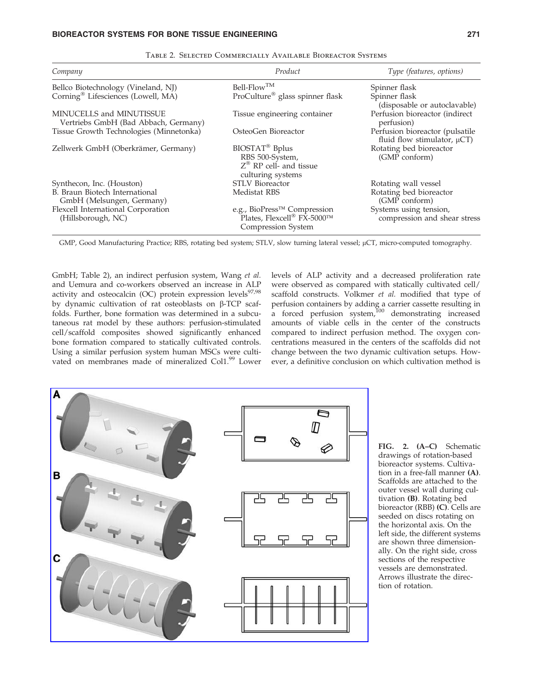| Company                                                          | Product                                                                                                   | Type (features, options)                                            |
|------------------------------------------------------------------|-----------------------------------------------------------------------------------------------------------|---------------------------------------------------------------------|
| Bellco Biotechnology (Vineland, NJ)                              | Bell-Flow <sup>TM</sup>                                                                                   | Spinner flask                                                       |
| Corning <sup>®</sup> Lifesciences (Lowell, MA)                   | ProCulture® glass spinner flask                                                                           | Spinner flask<br>(disposable or autoclavable)                       |
| MINUCELLS and MINUTISSUE<br>Vertriebs GmbH (Bad Abbach, Germany) | Tissue engineering container                                                                              | Perfusion bioreactor (indirect<br>perfusion)                        |
| Tissue Growth Technologies (Minnetonka)                          | OsteoGen Bioreactor                                                                                       | Perfusion bioreactor (pulsatile<br>fluid flow stimulator, $\mu$ CT) |
| Zellwerk GmbH (Oberkrämer, Germany)                              | BIOSTAT <sup>®</sup> Bplus<br>RBS 500-System,<br>$Z^{\circledR}$ RP cell- and tissue<br>culturing systems | Rotating bed bioreactor<br>(GMP conform)                            |
| Synthecon, Inc. (Houston)                                        | <b>STLV Bioreactor</b>                                                                                    | Rotating wall vessel                                                |
| B. Braun Biotech International<br>GmbH (Melsungen, Germany)      | Medistat RBS                                                                                              | Rotating bed bioreactor<br>(GMP conform)                            |
| Flexcell International Corporation<br>(Hillsborough, NC)         | e.g., BioPress™ Compression Plates, Flexcell® FX-5000™<br>Compression System                              | Systems using tension,<br>compression and shear stress              |

Table 2. Selected Commercially Available Bioreactor Systems

GMP, Good Manufacturing Practice; RBS, rotating bed system; STLV, slow turning lateral vessel; µCT, micro-computed tomography.

GmbH; Table 2), an indirect perfusion system, Wang et al. and Uemura and co-workers observed an increase in ALP activity and osteocalcin (OC) protein expression levels $97,98$ by dynamic cultivation of rat osteoblasts on  $\beta$ -TCP scaffolds. Further, bone formation was determined in a subcutaneous rat model by these authors: perfusion-stimulated cell/scaffold composites showed significantly enhanced bone formation compared to statically cultivated controls. Using a similar perfusion system human MSCs were cultivated on membranes made of mineralized Col1.<sup>99</sup> Lower levels of ALP activity and a decreased proliferation rate were observed as compared with statically cultivated cell/ scaffold constructs. Volkmer et al. modified that type of perfusion containers by adding a carrier cassette resulting in a forced perfusion system, $\frac{100}{100}$  demonstrating increased amounts of viable cells in the center of the constructs compared to indirect perfusion method. The oxygen concentrations measured in the centers of the scaffolds did not change between the two dynamic cultivation setups. However, a definitive conclusion on which cultivation method is



FIG. 2. (A–C) Schematic drawings of rotation-based bioreactor systems. Cultivation in a free-fall manner (A). Scaffolds are attached to the outer vessel wall during cultivation (B). Rotating bed bioreactor (RBB) (C). Cells are seeded on discs rotating on the horizontal axis. On the left side, the different systems are shown three dimensionally. On the right side, cross sections of the respective vessels are demonstrated. Arrows illustrate the direction of rotation.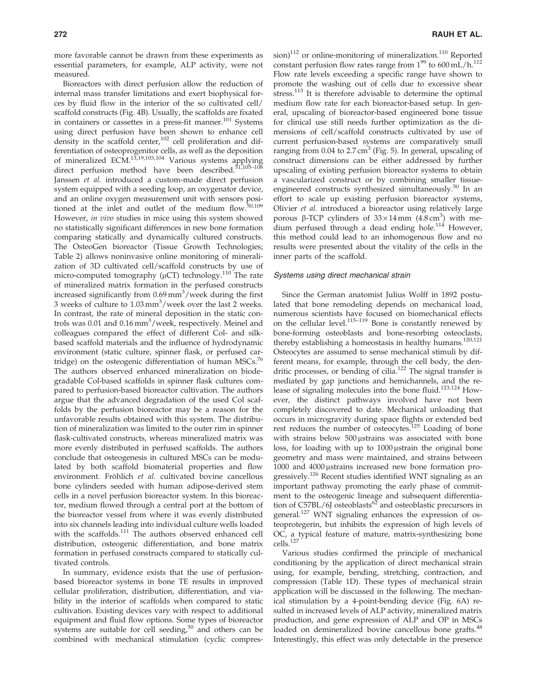more favorable cannot be drawn from these experiments as essential parameters, for example, ALP activity, were not measured.

Bioreactors with direct perfusion allow the reduction of internal mass transfer limitations and exert biophysical forces by fluid flow in the interior of the so cultivated cell/ scaffold constructs (Fig. 4B). Usually, the scaffolds are fixated in containers or cassettes in a press-fit manner.<sup>101</sup> Systems using direct perfusion have been shown to enhance cell density in the scaffold center, $102$  cell proliferation and differentiation of osteoprogenitor cells, as well as the deposition of mineralized  $ECM$ <sup>13,19,103,104</sup> Various systems applying direct perfusion method have been described.<sup>51,105-108</sup> Janssen et al. introduced a custom-made direct perfusion system equipped with a seeding loop, an oxygenator device, and an online oxygen measurement unit with sensors positioned at the inlet and outlet of the medium flow. $50,109$ However, in vivo studies in mice using this system showed no statistically significant differences in new bone formation comparing statically and dynamically cultured constructs. The OsteoGen bioreactor (Tissue Growth Technologies; Table 2) allows noninvasive online monitoring of mineralization of 3D cultivated cell/scaffold constructs by use of micro-computed tomography ( $\mu$ CT) technology.<sup>110</sup> The rate of mineralized matrix formation in the perfused constructs increased significantly from 0.69 mm<sup>3</sup>/week during the first 3 weeks of culture to 1.03 mm<sup>3</sup>/week over the last 2 weeks. In contrast, the rate of mineral deposition in the static controls was 0.01 and 0.16 mm<sup>3</sup>/week, respectively. Meinel and colleagues compared the effect of different Col- and silkbased scaffold materials and the influence of hydrodynamic environment (static culture, spinner flask, or perfused cartridge) on the osteogenic differentiation of human  $MSCs$ .<sup>76</sup> The authors observed enhanced mineralization on biodegradable Col-based scaffolds in spinner flask cultures compared to perfusion-based bioreactor cultivation. The authors argue that the advanced degradation of the used Col scaffolds by the perfusion bioreactor may be a reason for the unfavorable results obtained with this system. The distribution of mineralization was limited to the outer rim in spinner flask-cultivated constructs, whereas mineralized matrix was more evenly distributed in perfused scaffolds. The authors conclude that osteogenesis in cultured MSCs can be modulated by both scaffold biomaterial properties and flow environment. Fröhlich et al. cultivated bovine cancellous bone cylinders seeded with human adipose-derived stem cells in a novel perfusion bioreactor system. In this bioreactor, medium flowed through a central port at the bottom of the bioreactor vessel from where it was evenly distributed into six channels leading into individual culture wells loaded with the scaffolds.<sup>111</sup> The authors observed enhanced cell distribution, osteogenic differentiation, and bone matrix formation in perfused constructs compared to statically cultivated controls.

In summary, evidence exists that the use of perfusionbased bioreactor systems in bone TE results in improved cellular proliferation, distribution, differentiation, and viability in the interior of scaffolds when compared to static cultivation. Existing devices vary with respect to additional equipment and fluid flow options. Some types of bioreactor systems are suitable for cell seeding, $50$  and others can be combined with mechanical stimulation (cyclic compres $sion$ <sup>112</sup> or online-monitoring of mineralization.<sup>110</sup> Reported constant perfusion flow rates range from  $1^{99}$  to  $600$  mL/h.<sup>112</sup> Flow rate levels exceeding a specific range have shown to promote the washing out of cells due to excessive shear stress.<sup>113</sup> It is therefore advisable to determine the optimal medium flow rate for each bioreactor-based setup. In general, upscaling of bioreactor-based engineered bone tissue for clinical use still needs further optimization as the dimensions of cell/scaffold constructs cultivated by use of current perfusion-based systems are comparatively small ranging from 0.04 to  $2.7 \text{ cm}^3$  (Fig. 5). In general, upscaling of construct dimensions can be either addressed by further upscaling of existing perfusion bioreactor systems to obtain a vascularized construct or by combining smaller tissueengineered constructs synthesized simultaneously.<sup>50</sup> In an effort to scale up existing perfusion bioreactor systems, Olivier et al. introduced a bioreactor using relatively large porous  $\beta$ -TCP cylinders of  $33 \times 14$  mm  $(4.8 \text{ cm}^3)$  with medium perfused through a dead ending hole.<sup>114</sup> However, this method could lead to an inhomogenous flow and no results were presented about the vitality of the cells in the inner parts of the scaffold.

#### Systems using direct mechanical strain

Since the German anatomist Julius Wolff in 1892 postulated that bone remodeling depends on mechanical load, numerous scientists have focused on biomechanical effects on the cellular level.115–119 Bone is constantly renewed by bone-forming osteoblasts and bone-resorbing osteoclasts, thereby establishing a homeostasis in healthy humans.<sup>120,121</sup> Osteocytes are assumed to sense mechanical stimuli by different means, for example, through the cell body, the dendritic processes, or bending of cilia.<sup>122</sup> The signal transfer is mediated by gap junctions and hemichannels, and the release of signaling molecules into the bone fluid.<sup>123,124</sup> However, the distinct pathways involved have not been completely discovered to date. Mechanical unloading that occurs in microgravity during space flights or extended bed rest reduces the number of osteocytes.<sup>125</sup> Loading of bone with strains below 500 ustrains was associated with bone loss, for loading with up to 1000 ustrain the original bone geometry and mass were maintained, and strains between 1000 and 4000 ustrains increased new bone formation progressively.<sup>126</sup> Recent studies identified WNT signaling as an important pathway promoting the early phase of commitment to the osteogenic lineage and subsequent differentiation of  $C57BL/6J$  osteoblasts<sup>62</sup> and osteoblastic precursors in general.<sup>127</sup> WNT signaling enhances the expression of osteoprotegerin, but inhibits the expression of high levels of OC, a typical feature of mature, matrix-synthesizing bone cells.<sup>127</sup>

Various studies confirmed the principle of mechanical conditioning by the application of direct mechanical strain using, for example, bending, stretching, contraction, and compression (Table 1D). These types of mechanical strain application will be discussed in the following. The mechanical stimulation by a 4-point-bending device (Fig. 6A) resulted in increased levels of ALP activity, mineralized matrix production, and gene expression of ALP and OP in MSCs loaded on demineralized bovine cancellous bone grafts.<sup>48</sup> Interestingly, this effect was only detectable in the presence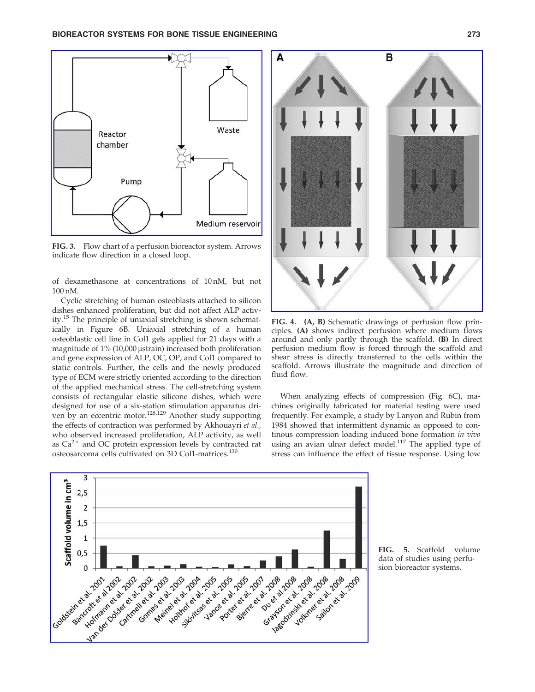

FIG. 3. Flow chart of a perfusion bioreactor system. Arrows indicate flow direction in a closed loop.

of dexamethasone at concentrations of 10 nM, but not 100 nM.

Cyclic stretching of human osteoblasts attached to silicon dishes enhanced proliferation, but did not affect ALP activity.<sup>15</sup> The principle of uniaxial stretching is shown schematically in Figure 6B. Uniaxial stretching of a human osteoblastic cell line in Col1 gels applied for 21 days with a magnitude of 1% (10,000 µstrain) increased both proliferation and gene expression of ALP, OC, OP, and Col1 compared to static controls. Further, the cells and the newly produced type of ECM were strictly oriented according to the direction of the applied mechanical stress. The cell-stretching system consists of rectangular elastic silicone dishes, which were designed for use of a six-station stimulation apparatus driven by an eccentric motor.<sup>128,129</sup> Another study supporting the effects of contraction was performed by Akhouayri et al., who observed increased proliferation, ALP activity, as well as  $Ca<sup>2+</sup>$  and OC protein expression levels by contracted rat osteosarcoma cells cultivated on 3D Col1-matrices.<sup>130</sup>



FIG. 4. (A, B) Schematic drawings of perfusion flow principles. (A) shows indirect perfusion where medium flows around and only partly through the scaffold. (B) In direct perfusion medium flow is forced through the scaffold and shear stress is directly transferred to the cells within the scaffold. Arrows illustrate the magnitude and direction of fluid flow.

When analyzing effects of compression (Fig. 6C), machines originally fabricated for material testing were used frequently. For example, a study by Lanyon and Rubin from 1984 showed that intermittent dynamic as opposed to continous compression loading induced bone formation in vivo using an avian ulnar defect model.<sup>117</sup> The applied type of stress can influence the effect of tissue response. Using low



FIG. 5. Scaffold volume data of studies using perfusion bioreactor systems.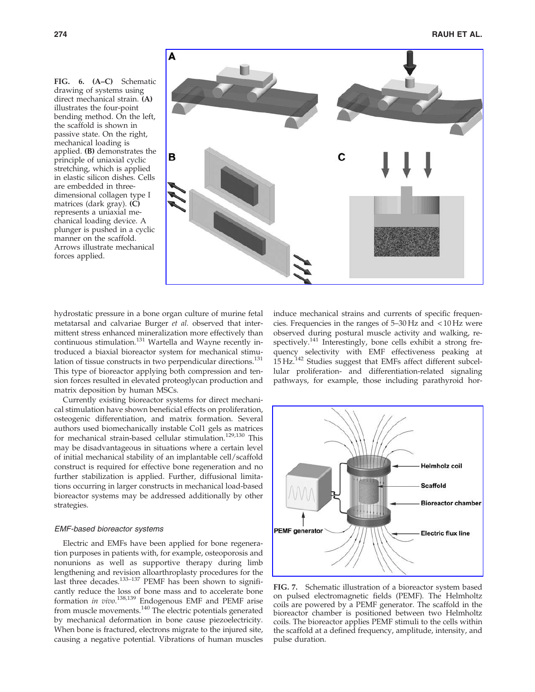FIG. 6. (A–C) Schematic drawing of systems using direct mechanical strain. (A) illustrates the four-point bending method. On the left, the scaffold is shown in passive state. On the right, mechanical loading is applied. (B) demonstrates the principle of uniaxial cyclic stretching, which is applied in elastic silicon dishes. Cells are embedded in threedimensional collagen type I matrices (dark gray). (C) represents a uniaxial mechanical loading device. A plunger is pushed in a cyclic manner on the scaffold. Arrows illustrate mechanical forces applied.



hydrostatic pressure in a bone organ culture of murine fetal metatarsal and calvariae Burger et al. observed that intermittent stress enhanced mineralization more effectively than continuous stimulation.<sup>131</sup> Wartella and Wayne recently introduced a biaxial bioreactor system for mechanical stimulation of tissue constructs in two perpendicular directions.<sup>131</sup> This type of bioreactor applying both compression and tension forces resulted in elevated proteoglycan production and matrix deposition by human MSCs.

Currently existing bioreactor systems for direct mechanical stimulation have shown beneficial effects on proliferation, osteogenic differentiation, and matrix formation. Several authors used biomechanically instable Col1 gels as matrices for mechanical strain-based cellular stimulation.129,130 This may be disadvantageous in situations where a certain level of initial mechanical stability of an implantable cell/scaffold construct is required for effective bone regeneration and no further stabilization is applied. Further, diffusional limitations occurring in larger constructs in mechanical load-based bioreactor systems may be addressed additionally by other strategies.

## EMF-based bioreactor systems

Electric and EMFs have been applied for bone regeneration purposes in patients with, for example, osteoporosis and nonunions as well as supportive therapy during limb lengthening and revision alloarthroplasty procedures for the last three decades.<sup>133–137</sup> PEMF has been shown to significantly reduce the loss of bone mass and to accelerate bone formation in vivo.<sup>138,139</sup> Endogenous EMF and PEMF arise from muscle movements.<sup>140</sup> The electric potentials generated by mechanical deformation in bone cause piezoelectricity. When bone is fractured, electrons migrate to the injured site, causing a negative potential. Vibrations of human muscles induce mechanical strains and currents of specific frequencies. Frequencies in the ranges of 5–30 Hz and < 10 Hz were observed during postural muscle activity and walking, respectively.<sup>141</sup> Interestingly, bone cells exhibit a strong frequency selectivity with EMF effectiveness peaking at 15 Hz.<sup>142</sup> Studies suggest that EMFs affect different subcellular proliferation- and differentiation-related signaling pathways, for example, those including parathyroid hor-



FIG. 7. Schematic illustration of a bioreactor system based on pulsed electromagnetic fields (PEMF). The Helmholtz coils are powered by a PEMF generator. The scaffold in the bioreactor chamber is positioned between two Helmholtz coils. The bioreactor applies PEMF stimuli to the cells within the scaffold at a defined frequency, amplitude, intensity, and pulse duration.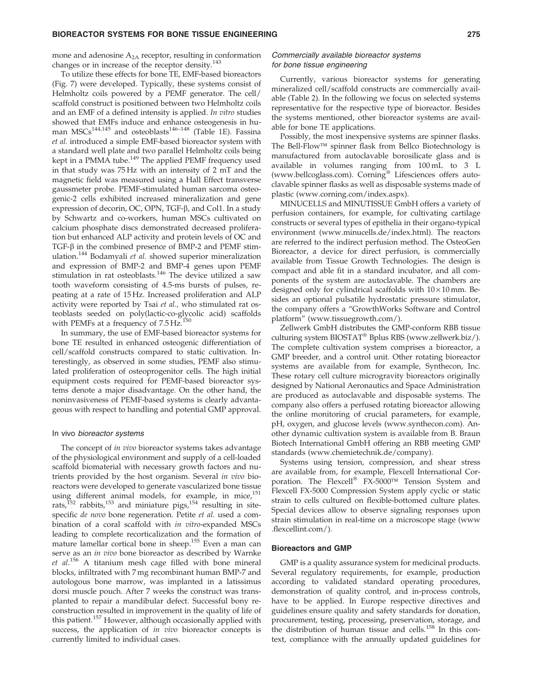mone and adenosine  $A_{2A}$  receptor, resulting in conformation changes or in increase of the receptor density.<sup>143</sup>

To utilize these effects for bone TE, EMF-based bioreactors (Fig. 7) were developed. Typically, these systems consist of Helmholtz coils powered by a PEMF generator. The cell/ scaffold construct is positioned between two Helmholtz coils and an EMF of a defined intensity is applied. In vitro studies showed that EMFs induce and enhance osteogenesis in human  $MSCs^{144,145}$  and osteoblasts<sup>146-148</sup> (Table 1E). Fassina et al. introduced a simple EMF-based bioreactor system with a standard well plate and two parallel Helmholtz coils being kept in a PMMA tube.<sup>149</sup> The applied PEMF frequency used in that study was 75 Hz with an intensity of 2 mT and the magnetic field was measured using a Hall Effect transverse gaussmeter probe. PEMF-stimulated human sarcoma osteogenic-2 cells exhibited increased mineralization and gene expression of decorin, OC, OPN, TGF-β, and Col1. In a study by Schwartz and co-workers, human MSCs cultivated on calcium phosphate discs demonstrated decreased proliferation but enhanced ALP activity and protein levels of OC and  $TGF-\beta$  in the combined presence of BMP-2 and PEMF stimulation.<sup>144</sup> Bodamyali et al. showed superior mineralization and expression of BMP-2 and BMP-4 genes upon PEMF stimulation in rat osteoblasts.<sup>146</sup> The device utilized a saw tooth waveform consisting of 4.5-ms bursts of pulses, repeating at a rate of 15 Hz. Increased proliferation and ALP activity were reported by Tsai et al., who stimulated rat osteoblasts seeded on poly(lactic-co-glycolic acid) scaffolds with PEMFs at a frequency of  $7.5 \text{ Hz}$ .<sup>150</sup>

In summary, the use of EMF-based bioreactor systems for bone TE resulted in enhanced osteogenic differentiation of cell/scaffold constructs compared to static cultivation. Interestingly, as observed in some studies, PEMF also stimulated proliferation of osteoprogenitor cells. The high initial equipment costs required for PEMF-based bioreactor systems denote a major disadvantage. On the other hand, the noninvasiveness of PEMF-based systems is clearly advantageous with respect to handling and potential GMP approval.

#### In vivo bioreactor systems

The concept of in vivo bioreactor systems takes advantage of the physiological environment and supply of a cell-loaded scaffold biomaterial with necessary growth factors and nutrients provided by the host organism. Several in vivo bioreactors were developed to generate vascularized bone tissue using different animal models, for example, in mice,<sup>151</sup> rats, $152$  rabbits, $153$  and miniature pigs, $154$  resulting in sitespecific de novo bone regeneration. Petite et al. used a combination of a coral scaffold with in vitro-expanded MSCs leading to complete recorticalization and the formation of mature lamellar cortical bone in sheep.<sup>155</sup> Even a man can serve as an in vivo bone bioreactor as described by Warnke et al.<sup>156</sup> A titanium mesh cage filled with bone mineral blocks, infiltrated with 7 mg recombinant human BMP-7 and autologous bone marrow, was implanted in a latissimus dorsi muscle pouch. After 7 weeks the construct was transplanted to repair a mandibular defect. Successful bony reconstruction resulted in improvement in the quality of life of this patient.<sup>157</sup> However, although occasionally applied with success, the application of in vivo bioreactor concepts is currently limited to individual cases.

## Commercially available bioreactor systems for bone tissue engineering

Currently, various bioreactor systems for generating mineralized cell/scaffold constructs are commercially available (Table 2). In the following we focus on selected systems representative for the respective type of bioreactor. Besides the systems mentioned, other bioreactor systems are available for bone TE applications.

Possibly, the most inexpensive systems are spinner flasks. The Bell-Flow™ spinner flask from Bellco Biotechnology is manufactured from autoclavable borosilicate glass and is available in volumes ranging from 100 mL to 3 L (www.bellcoglass.com). Corning<sup>®</sup> Lifesciences offers autoclavable spinner flasks as well as disposable systems made of plastic (www.corning.com/index.aspx).

MINUCELLS and MINUTISSUE GmbH offers a variety of perfusion containers, for example, for cultivating cartilage constructs or several types of epithelia in their organo-typical environment (www.minucells.de/index.html). The reactors are referred to the indirect perfusion method. The OsteoGen Bioreactor, a device for direct perfusion, is commercially available from Tissue Growth Technologies. The design is compact and able fit in a standard incubator, and all components of the system are autoclavable. The chambers are designed only for cylindrical scaffolds with  $10 \times 10$  mm. Besides an optional pulsatile hydrostatic pressure stimulator, the company offers a ''GrowthWorks Software and Control platform'' (www.tissuegrowth.com/).

Zellwerk GmbH distributes the GMP-conform RBB tissue culturing system BIOSTAT<sup>®</sup> Bplus RBS (www.zellwerk.biz/). The complete cultivation system comprises a bioreactor, a GMP breeder, and a control unit. Other rotating bioreactor systems are available from for example, Synthecon, Inc. These rotary cell culture microgravity bioreactors originally designed by National Aeronautics and Space Administration are produced as autoclavable and disposable systems. The company also offers a perfused rotating bioreactor allowing the online monitoring of crucial parameters, for example, pH, oxygen, and glucose levels (www.synthecon.com). Another dynamic cultivation system is available from B. Braun Biotech International GmbH offering an RBB meeting GMP standards (www.chemietechnik.de/company).

Systems using tension, compression, and shear stress are available from, for example, Flexcell International Corporation. The Flexcell® FX-5000™ Tension System and Flexcell FX-5000 Compression System apply cyclic or static strain to cells cultured on flexible-bottomed culture plates. Special devices allow to observe signaling responses upon strain stimulation in real-time on a microscope stage (www .flexcellint.com/).

#### Bioreactors and GMP

GMP is a quality assurance system for medicinal products. Several regulatory requirements, for example, production according to validated standard operating procedures, demonstration of quality control, and in-process controls, have to be applied. In Europe respective directives and guidelines ensure quality and safety standards for donation, procurement, testing, processing, preservation, storage, and the distribution of human tissue and cells.<sup>158</sup> In this context, compliance with the annually updated guidelines for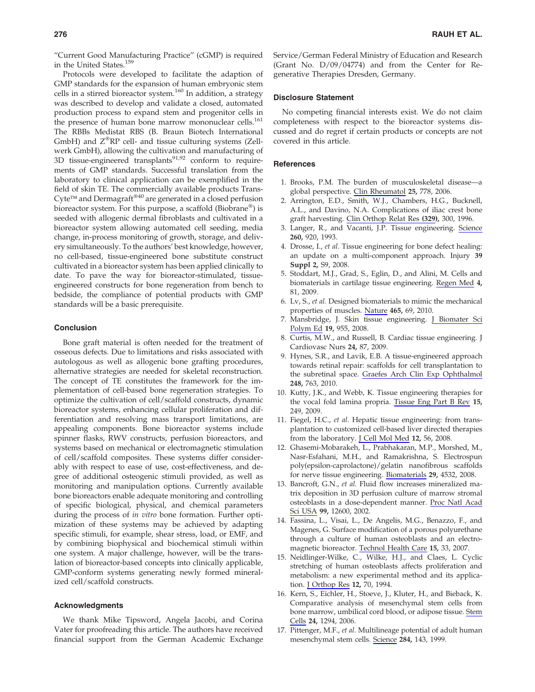Protocols were developed to facilitate the adaption of GMP standards for the expansion of human embryonic stem cells in a stirred bioreactor system.<sup>160</sup> In addition, a strategy was described to develop and validate a closed, automated production process to expand stem and progenitor cells in the presence of human bone marrow mononuclear cells. $^{161}$ The RBBs Medistat RBS (B. Braun Biotech International GmbH) and  $Z^{\circledast}RP$  cell- and tissue culturing systems (Zellwerk GmbH), allowing the cultivation and manufacturing of 3D tissue-engineered transplants $91,92$  conform to requirements of GMP standards. Successful translation from the laboratory to clinical application can be exemplified in the field of skin TE. The commercially available products Trans- $\text{Cyte}^{\text{TM}}$  and  $\text{Dermagraft}^{\circledast 40}$  are generated in a closed perfusion bioreactor system. For this purpose, a scaffold (Biobrane®) is seeded with allogenic dermal fibroblasts and cultivated in a bioreactor system allowing automated cell seeding, media change, in-process monitoring of growth, storage, and delivery simultaneously. To the authors' best knowledge, however, no cell-based, tissue-engineered bone substitute construct cultivated in a bioreactor system has been applied clinically to date. To pave the way for bioreactor-stimulated, tissueengineered constructs for bone regeneration from bench to bedside, the compliance of potential products with GMP standards will be a basic prerequisite.

## Conclusion

Bone graft material is often needed for the treatment of osseous defects. Due to limitations and risks associated with autologous as well as allogenic bone grafting procedures, alternative strategies are needed for skeletal reconstruction. The concept of TE constitutes the framework for the implementation of cell-based bone regeneration strategies. To optimize the cultivation of cell/scaffold constructs, dynamic bioreactor systems, enhancing cellular proliferation and differentiation and resolving mass transport limitations, are appealing components. Bone bioreactor systems include spinner flasks, RWV constructs, perfusion bioreactors, and systems based on mechanical or electromagnetic stimulation of cell/scaffold composites. These systems differ considerably with respect to ease of use, cost-effectiveness, and degree of additional osteogenic stimuli provided, as well as monitoring and manipulation options. Currently available bone bioreactors enable adequate monitoring and controlling of specific biological, physical, and chemical parameters during the process of in vitro bone formation. Further optimization of these systems may be achieved by adapting specific stimuli, for example, shear stress, load, or EMF, and by combining biophysical and biochemical stimuli within one system. A major challenge, however, will be the translation of bioreactor-based concepts into clinically applicable, GMP-conform systems generating newly formed mineralized cell/scaffold constructs.

#### Acknowledgments

We thank Mike Tipsword, Angela Jacobi, and Corina Vater for proofreading this article. The authors have received financial support from the German Academic Exchange Service/German Federal Ministry of Education and Research (Grant No. D/09/04774) and from the Center for Regenerative Therapies Dresden, Germany.

## Disclosure Statement

No competing financial interests exist. We do not claim completeness with respect to the bioreactor systems discussed and do regret if certain products or concepts are not covered in this article.

### **References**

- 1. Brooks, P.M. The burden of musculoskeletal disease—a global perspective. Clin Rheumatol 25, 778, 2006.
- 2. Arrington, E.D., Smith, W.J., Chambers, H.G., Bucknell, A.L., and Davino, N.A. Complications of iliac crest bone graft harvesting. Clin Orthop Relat Res (329), 300, 1996.
- 3. Langer, R., and Vacanti, J.P. Tissue engineering. Science 260, 920, 1993.
- 4. Drosse, I., et al. Tissue engineering for bone defect healing: an update on a multi-component approach. Injury 39 Suppl 2, S9, 2008.
- 5. Stoddart, M.J., Grad, S., Eglin, D., and Alini, M. Cells and biomaterials in cartilage tissue engineering. Regen Med 4, 81, 2009.
- 6. Lv, S., et al. Designed biomaterials to mimic the mechanical properties of muscles. Nature 465, 69, 2010.
- 7. Mansbridge, J. Skin tissue engineering. J Biomater Sci Polym Ed 19, 955, 2008.
- 8. Curtis, M.W., and Russell, B. Cardiac tissue engineering. J Cardiovasc Nurs 24, 87, 2009.
- 9. Hynes, S.R., and Lavik, E.B. A tissue-engineered approach towards retinal repair: scaffolds for cell transplantation to the subretinal space. Graefes Arch Clin Exp Ophthalmol 248, 763, 2010.
- 10. Kutty, J.K., and Webb, K. Tissue engineering therapies for the vocal fold lamina propria. Tissue Eng Part B Rev 15, 249, 2009.
- 11. Fiegel, H.C., et al. Hepatic tissue engineering: from transplantation to customized cell-based liver directed therapies from the laboratory. J Cell Mol Med 12, 56, 2008.
- 12. Ghasemi-Mobarakeh, L., Prabhakaran, M.P., Morshed, M., Nasr-Esfahani, M.H., and Ramakrishna, S. Electrospun poly(epsilon-caprolactone)/gelatin nanofibrous scaffolds for nerve tissue engineering. Biomaterials 29, 4532, 2008.
- 13. Bancroft, G.N., et al. Fluid flow increases mineralized matrix deposition in 3D perfusion culture of marrow stromal osteoblasts in a dose-dependent manner. Proc Natl Acad Sci USA 99, 12600, 2002.
- 14. Fassina, L., Visai, L., De Angelis, M.G., Benazzo, F., and Magenes, G. Surface modification of a porous polyurethane through a culture of human osteoblasts and an electromagnetic bioreactor. Technol Health Care 15, 33, 2007.
- 15. Neidlinger-Wilke, C., Wilke, H.J., and Claes, L. Cyclic stretching of human osteoblasts affects proliferation and metabolism: a new experimental method and its application. J Orthop Res 12, 70, 1994.
- 16. Kern, S., Eichler, H., Stoeve, J., Kluter, H., and Bieback, K. Comparative analysis of mesenchymal stem cells from bone marrow, umbilical cord blood, or adipose tissue. Stem Cells 24, 1294, 2006.
- 17. Pittenger, M.F., et al. Multilineage potential of adult human mesenchymal stem cells. Science 284, 143, 1999.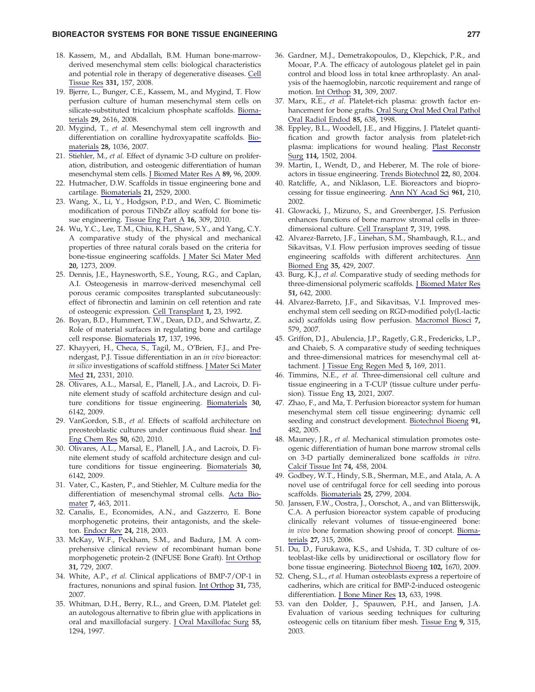- 18. Kassem, M., and Abdallah, B.M. Human bone-marrowderived mesenchymal stem cells: biological characteristics and potential role in therapy of degenerative diseases. Cell Tissue Res 331, 157, 2008.
- 19. Bjerre, L., Bunger, C.E., Kassem, M., and Mygind, T. Flow perfusion culture of human mesenchymal stem cells on silicate-substituted tricalcium phosphate scaffolds. Biomaterials 29, 2616, 2008.
- 20. Mygind, T., et al. Mesenchymal stem cell ingrowth and differentiation on coralline hydroxyapatite scaffolds. Biomaterials 28, 1036, 2007.
- 21. Stiehler, M., et al. Effect of dynamic 3-D culture on proliferation, distribution, and osteogenic differentiation of human mesenchymal stem cells. J Biomed Mater Res A 89, 96, 2009.
- 22. Hutmacher, D.W. Scaffolds in tissue engineering bone and cartilage. Biomaterials 21, 2529, 2000.
- 23. Wang, X., Li, Y., Hodgson, P.D., and Wen, C. Biomimetic modification of porous TiNbZr alloy scaffold for bone tissue engineering. Tissue Eng Part A 16, 309, 2010.
- 24. Wu, Y.C., Lee, T.M., Chiu, K.H., Shaw, S.Y., and Yang, C.Y. A comparative study of the physical and mechanical properties of three natural corals based on the criteria for bone-tissue engineering scaffolds. J Mater Sci Mater Med 20, 1273, 2009.
- 25. Dennis, J.E., Haynesworth, S.E., Young, R.G., and Caplan, A.I. Osteogenesis in marrow-derived mesenchymal cell porous ceramic composites transplanted subcutaneously: effect of fibronectin and laminin on cell retention and rate of osteogenic expression. Cell Transplant 1, 23, 1992.
- 26. Boyan, B.D., Hummert, T.W., Dean, D.D., and Schwartz, Z. Role of material surfaces in regulating bone and cartilage cell response. Biomaterials 17, 137, 1996.
- 27. Khayyeri, H., Checa, S., Tagil, M., O'Brien, F.J., and Prendergast, P.J. Tissue differentiation in an in vivo bioreactor: in silico investigations of scaffold stiffness. J Mater Sci Mater Med 21, 2331, 2010.
- 28. Olivares, A.L., Marsal, E., Planell, J.A., and Lacroix, D. Finite element study of scaffold architecture design and culture conditions for tissue engineering. Biomaterials 30, 6142, 2009.
- 29. VanGordon, S.B., et al. Effects of scaffold architecture on preosteoblastic cultures under continuous fluid shear. Ind Eng Chem Res 50, 620, 2010.
- 30. Olivares, A.L., Marsal, E., Planell, J.A., and Lacroix, D. Finite element study of scaffold architecture design and culture conditions for tissue engineering. Biomaterials 30, 6142, 2009.
- 31. Vater, C., Kasten, P., and Stiehler, M. Culture media for the differentiation of mesenchymal stromal cells. Acta Biomater 7, 463, 2011.
- 32. Canalis, E., Economides, A.N., and Gazzerro, E. Bone morphogenetic proteins, their antagonists, and the skeleton. Endocr Rev 24, 218, 2003.
- 33. McKay, W.F., Peckham, S.M., and Badura, J.M. A comprehensive clinical review of recombinant human bone morphogenetic protein-2 (INFUSE Bone Graft). Int Orthop 31, 729, 2007.
- 34. White, A.P., et al. Clinical applications of BMP-7/OP-1 in fractures, nonunions and spinal fusion. Int Orthop 31, 735, 2007.
- 35. Whitman, D.H., Berry, R.L., and Green, D.M. Platelet gel: an autologous alternative to fibrin glue with applications in oral and maxillofacial surgery. J Oral Maxillofac Surg 55, 1294, 1997.
- 36. Gardner, M.J., Demetrakopoulos, D., Klepchick, P.R., and Mooar, P.A. The efficacy of autologous platelet gel in pain control and blood loss in total knee arthroplasty. An analysis of the haemoglobin, narcotic requirement and range of motion. Int Orthop 31, 309, 2007.
- 37. Marx, R.E., et al. Platelet-rich plasma: growth factor enhancement for bone grafts. Oral Surg Oral Med Oral Pathol Oral Radiol Endod 85, 638, 1998.
- 38. Eppley, B.L., Woodell, J.E., and Higgins, J. Platelet quantification and growth factor analysis from platelet-rich plasma: implications for wound healing. Plast Reconstr Surg 114, 1502, 2004.
- 39. Martin, I., Wendt, D., and Heberer, M. The role of bioreactors in tissue engineering. Trends Biotechnol 22, 80, 2004.
- 40. Ratcliffe, A., and Niklason, L.E. Bioreactors and bioprocessing for tissue engineering. Ann NY Acad Sci 961, 210, 2002.
- 41. Glowacki, J., Mizuno, S., and Greenberger, J.S. Perfusion enhances functions of bone marrow stromal cells in threedimensional culture. Cell Transplant 7, 319, 1998.
- 42. Alvarez-Barreto, J.F., Linehan, S.M., Shambaugh, R.L., and Sikavitsas, V.I. Flow perfusion improves seeding of tissue engineering scaffolds with different architectures. Ann Biomed Eng 35, 429, 2007.
- 43. Burg, K.J., et al. Comparative study of seeding methods for three-dimensional polymeric scaffolds. J Biomed Mater Res 51, 642, 2000.
- 44. Alvarez-Barreto, J.F., and Sikavitsas, V.I. Improved mesenchymal stem cell seeding on RGD-modified poly(L-lactic acid) scaffolds using flow perfusion. Macromol Biosci 7, 579, 2007.
- 45. Griffon, D.J., Abulencia, J.P., Ragetly, G.R., Fredericks, L.P., and Chaieb, S. A comparative study of seeding techniques and three-dimensional matrices for mesenchymal cell attachment. J Tissue Eng Regen Med 5, 169, 2011.
- 46. Timmins, N.E., et al. Three-dimensional cell culture and tissue engineering in a T-CUP (tissue culture under perfusion). Tissue Eng 13, 2021, 2007.
- 47. Zhao, F., and Ma, T. Perfusion bioreactor system for human mesenchymal stem cell tissue engineering: dynamic cell seeding and construct development. Biotechnol Bioeng 91, 482, 2005.
- 48. Mauney, J.R., et al. Mechanical stimulation promotes osteogenic differentiation of human bone marrow stromal cells on 3-D partially demineralized bone scaffolds in vitro. Calcif Tissue Int 74, 458, 2004.
- 49. Godbey, W.T., Hindy, S.B., Sherman, M.E., and Atala, A. A novel use of centrifugal force for cell seeding into porous scaffolds. Biomaterials 25, 2799, 2004.
- 50. Janssen, F.W., Oostra, J., Oorschot, A., and van Blitterswijk, C.A. A perfusion bioreactor system capable of producing clinically relevant volumes of tissue-engineered bone: in vivo bone formation showing proof of concept. Biomaterials 27, 315, 2006.
- 51. Du, D., Furukawa, K.S., and Ushida, T. 3D culture of osteoblast-like cells by unidirectional or oscillatory flow for bone tissue engineering. Biotechnol Bioeng 102, 1670, 2009.
- 52. Cheng, S.L., et al. Human osteoblasts express a repertoire of cadherins, which are critical for BMP-2-induced osteogenic differentiation. J Bone Miner Res 13, 633, 1998.
- 53. van den Dolder, J., Spauwen, P.H., and Jansen, J.A. Evaluation of various seeding techniques for culturing osteogenic cells on titanium fiber mesh. Tissue Eng 9, 315, 2003.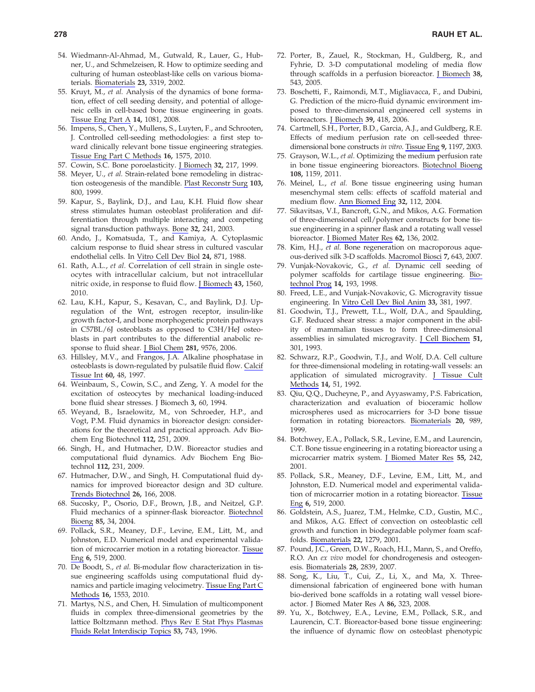- 54. Wiedmann-Al-Ahmad, M., Gutwald, R., Lauer, G., Hubner, U., and Schmelzeisen, R. How to optimize seeding and culturing of human osteoblast-like cells on various biomaterials. Biomaterials 23, 3319, 2002.
- 55. Kruyt, M., et al. Analysis of the dynamics of bone formation, effect of cell seeding density, and potential of allogeneic cells in cell-based bone tissue engineering in goats. Tissue Eng Part A 14, 1081, 2008.
- 56. Impens, S., Chen, Y., Mullens, S., Luyten, F., and Schrooten, J. Controlled cell-seeding methodologies: a first step toward clinically relevant bone tissue engineering strategies. Tissue Eng Part C Methods 16, 1575, 2010.
- 57. Cowin, S.C. Bone poroelasticity. J Biomech 32, 217, 1999.
- 58. Meyer, U., et al. Strain-related bone remodeling in distraction osteogenesis of the mandible. Plast Reconstr Surg 103, 800, 1999.
- 59. Kapur, S., Baylink, D.J., and Lau, K.H. Fluid flow shear stress stimulates human osteoblast proliferation and differentiation through multiple interacting and competing signal transduction pathways. Bone 32, 241, 2003.
- 60. Ando, J., Komatsuda, T., and Kamiya, A. Cytoplasmic calcium response to fluid shear stress in cultured vascular endothelial cells. In Vitro Cell Dev Biol 24, 871, 1988.
- 61. Rath, A.L., et al. Correlation of cell strain in single osteocytes with intracellular calcium, but not intracellular nitric oxide, in response to fluid flow. J Biomech 43, 1560, 2010.
- 62. Lau, K.H., Kapur, S., Kesavan, C., and Baylink, D.J. Upregulation of the Wnt, estrogen receptor, insulin-like growth factor-I, and bone morphogenetic protein pathways in C57BL/6J osteoblasts as opposed to C3H/HeJ osteoblasts in part contributes to the differential anabolic response to fluid shear. J Biol Chem 281, 9576, 2006.
- 63. Hillsley, M.V., and Frangos, J.A. Alkaline phosphatase in osteoblasts is down-regulated by pulsatile fluid flow. Calcif Tissue Int 60, 48, 1997.
- 64. Weinbaum, S., Cowin, S.C., and Zeng, Y. A model for the excitation of osteocytes by mechanical loading-induced bone fluid shear stresses. J Biomech 3, 60, 1994.
- 65. Weyand, B., Israelowitz, M., von Schroeder, H.P., and Vogt, P.M. Fluid dynamics in bioreactor design: considerations for the theoretical and practical approach. Adv Biochem Eng Biotechnol 112, 251, 2009.
- 66. Singh, H., and Hutmacher, D.W. Bioreactor studies and computational fluid dynamics. Adv Biochem Eng Biotechnol 112, 231, 2009.
- 67. Hutmacher, D.W., and Singh, H. Computational fluid dynamics for improved bioreactor design and 3D culture. Trends Biotechnol 26, 166, 2008.
- 68. Sucosky, P., Osorio, D.F., Brown, J.B., and Neitzel, G.P. Fluid mechanics of a spinner-flask bioreactor. Biotechnol Bioeng 85, 34, 2004.
- 69. Pollack, S.R., Meaney, D.F., Levine, E.M., Litt, M., and Johnston, E.D. Numerical model and experimental validation of microcarrier motion in a rotating bioreactor. Tissue Eng 6, 519, 2000.
- 70. De Boodt, S., et al. Bi-modular flow characterization in tissue engineering scaffolds using computational fluid dynamics and particle imaging velocimetry. Tissue Eng Part C Methods 16, 1553, 2010.
- 71. Martys, N.S., and Chen, H. Simulation of multicomponent fluids in complex three-dimensional geometries by the lattice Boltzmann method. Phys Rev E Stat Phys Plasmas Fluids Relat Interdiscip Topics 53, 743, 1996.
- 72. Porter, B., Zauel, R., Stockman, H., Guldberg, R., and Fyhrie, D. 3-D computational modeling of media flow through scaffolds in a perfusion bioreactor. J Biomech 38, 543, 2005.
- 73. Boschetti, F., Raimondi, M.T., Migliavacca, F., and Dubini, G. Prediction of the micro-fluid dynamic environment imposed to three-dimensional engineered cell systems in bioreactors. J Biomech 39, 418, 2006.
- 74. Cartmell, S.H., Porter, B.D., Garcia, A.J., and Guldberg, R.E. Effects of medium perfusion rate on cell-seeded threedimensional bone constructs in vitro. Tissue Eng 9, 1197, 2003.
- 75. Grayson, W.L., et al. Optimizing the medium perfusion rate in bone tissue engineering bioreactors. Biotechnol Bioeng 108, 1159, 2011.
- 76. Meinel, L., et al. Bone tissue engineering using human mesenchymal stem cells: effects of scaffold material and medium flow. Ann Biomed Eng 32, 112, 2004.
- 77. Sikavitsas, V.I., Bancroft, G.N., and Mikos, A.G. Formation of three-dimensional cell/polymer constructs for bone tissue engineering in a spinner flask and a rotating wall vessel bioreactor. J Biomed Mater Res 62, 136, 2002.
- 78. Kim, H.J., et al. Bone regeneration on macroporous aqueous-derived silk 3-D scaffolds. Macromol Biosci 7, 643, 2007.
- 79. Vunjak-Novakovic, G., et al. Dynamic cell seeding of polymer scaffolds for cartilage tissue engineering. Biotechnol Prog 14, 193, 1998.
- 80. Freed, L.E., and Vunjak-Novakovic, G. Microgravity tissue engineering. In Vitro Cell Dev Biol Anim 33, 381, 1997.
- 81. Goodwin, T.J., Prewett, T.L., Wolf, D.A., and Spaulding, G.F. Reduced shear stress: a major component in the ability of mammalian tissues to form three-dimensional assemblies in simulated microgravity. J Cell Biochem 51, 301, 1993.
- 82. Schwarz, R.P., Goodwin, T.J., and Wolf, D.A. Cell culture for three-dimensional modeling in rotating-wall vessels: an application of simulated microgravity. J Tissue Cult Methods 14, 51, 1992.
- 83. Qiu, Q.Q., Ducheyne, P., and Ayyaswamy, P.S. Fabrication, characterization and evaluation of bioceramic hollow microspheres used as microcarriers for 3-D bone tissue formation in rotating bioreactors. Biomaterials 20, 989, 1999.
- 84. Botchwey, E.A., Pollack, S.R., Levine, E.M., and Laurencin, C.T. Bone tissue engineering in a rotating bioreactor using a microcarrier matrix system. J Biomed Mater Res 55, 242, 2001.
- 85. Pollack, S.R., Meaney, D.F., Levine, E.M., Litt, M., and Johnston, E.D. Numerical model and experimental validation of microcarrier motion in a rotating bioreactor. Tissue Eng 6, 519, 2000.
- 86. Goldstein, A.S., Juarez, T.M., Helmke, C.D., Gustin, M.C., and Mikos, A.G. Effect of convection on osteoblastic cell growth and function in biodegradable polymer foam scaffolds. Biomaterials 22, 1279, 2001.
- 87. Pound, J.C., Green, D.W., Roach, H.I., Mann, S., and Oreffo, R.O. An ex vivo model for chondrogenesis and osteogenesis. Biomaterials 28, 2839, 2007.
- 88. Song, K., Liu, T., Cui, Z., Li, X., and Ma, X. Threedimensional fabrication of engineered bone with human bio-derived bone scaffolds in a rotating wall vessel bioreactor. J Biomed Mater Res A 86, 323, 2008.
- Yu, X., Botchwey, E.A., Levine, E.M., Pollack, S.R., and Laurencin, C.T. Bioreactor-based bone tissue engineering: the influence of dynamic flow on osteoblast phenotypic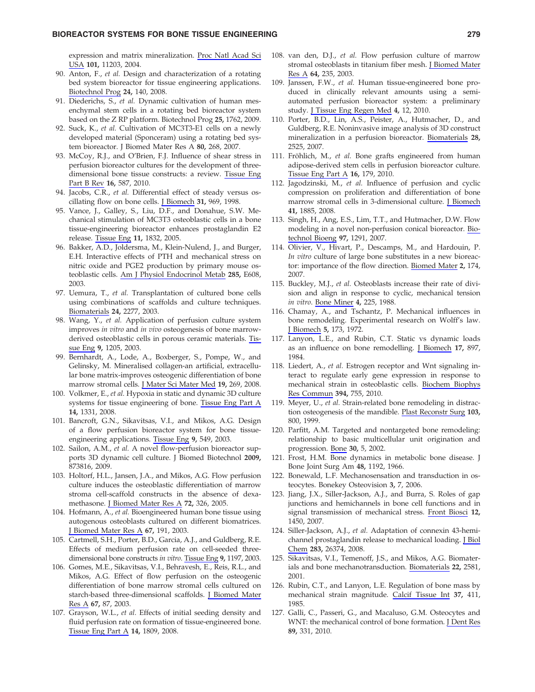expression and matrix mineralization. Proc Natl Acad Sci USA 101, 11203, 2004.

- 90. Anton, F., et al. Design and characterization of a rotating bed system bioreactor for tissue engineering applications. Biotechnol Prog 24, 140, 2008.
- 91. Diederichs, S., et al. Dynamic cultivation of human mesenchymal stem cells in a rotating bed bioreactor system based on the Z RP platform. Biotechnol Prog 25, 1762, 2009.
- 92. Suck, K., et al. Cultivation of MC3T3-E1 cells on a newly developed material (Sponceram) using a rotating bed system bioreactor. J Biomed Mater Res A 80, 268, 2007.
- 93. McCoy, R.J., and O'Brien, F.J. Influence of shear stress in perfusion bioreactor cultures for the development of threedimensional bone tissue constructs: a review. Tissue Eng Part B Rev 16, 587, 2010.
- 94. Jacobs, C.R., et al. Differential effect of steady versus oscillating flow on bone cells. J Biomech 31, 969, 1998.
- 95. Vance, J., Galley, S., Liu, D.F., and Donahue, S.W. Mechanical stimulation of MC3T3 osteoblastic cells in a bone tissue-engineering bioreactor enhances prostaglandin E2 release. Tissue Eng 11, 1832, 2005.
- 96. Bakker, A.D., Joldersma, M., Klein-Nulend, J., and Burger, E.H. Interactive effects of PTH and mechanical stress on nitric oxide and PGE2 production by primary mouse osteoblastic cells. Am J Physiol Endocrinol Metab 285, E608, 2003.
- 97. Uemura, T., et al. Transplantation of cultured bone cells using combinations of scaffolds and culture techniques. Biomaterials 24, 2277, 2003.
- 98. Wang, Y., et al. Application of perfusion culture system improves in vitro and in vivo osteogenesis of bone marrowderived osteoblastic cells in porous ceramic materials. Tissue Eng 9, 1205, 2003.
- 99. Bernhardt, A., Lode, A., Boxberger, S., Pompe, W., and Gelinsky, M. Mineralised collagen-an artificial, extracellular bone matrix-improves osteogenic differentiation of bone marrow stromal cells. J Mater Sci Mater Med 19, 269, 2008.
- 100. Volkmer, E., et al. Hypoxia in static and dynamic 3D culture systems for tissue engineering of bone. Tissue Eng Part A 14, 1331, 2008.
- 101. Bancroft, G.N., Sikavitsas, V.I., and Mikos, A.G. Design of a flow perfusion bioreactor system for bone tissueengineering applications. Tissue Eng 9, 549, 2003.
- 102. Sailon, A.M., et al. A novel flow-perfusion bioreactor supports 3D dynamic cell culture. J Biomed Biotechnol 2009, 873816, 2009.
- 103. Holtorf, H.L., Jansen, J.A., and Mikos, A.G. Flow perfusion culture induces the osteoblastic differentiation of marrow stroma cell-scaffold constructs in the absence of dexamethasone. J Biomed Mater Res A 72, 326, 2005.
- 104. Hofmann, A., et al. Bioengineered human bone tissue using autogenous osteoblasts cultured on different biomatrices. J Biomed Mater Res A 67, 191, 2003.
- 105. Cartmell, S.H., Porter, B.D., Garcia, A.J., and Guldberg, R.E. Effects of medium perfusion rate on cell-seeded threedimensional bone constructs in vitro. Tissue Eng 9, 1197, 2003.
- 106. Gomes, M.E., Sikavitsas, V.I., Behravesh, E., Reis, R.L., and Mikos, A.G. Effect of flow perfusion on the osteogenic differentiation of bone marrow stromal cells cultured on starch-based three-dimensional scaffolds. J Biomed Mater Res A 67, 87, 2003.
- 107. Grayson, W.L., et al. Effects of initial seeding density and fluid perfusion rate on formation of tissue-engineered bone. Tissue Eng Part A 14, 1809, 2008.
- 108. van den, D.J., et al. Flow perfusion culture of marrow stromal osteoblasts in titanium fiber mesh. J Biomed Mater Res A 64, 235, 2003.
- 109. Janssen, F.W., et al. Human tissue-engineered bone produced in clinically relevant amounts using a semiautomated perfusion bioreactor system: a preliminary study. J Tissue Eng Regen Med 4, 12, 2010.
- 110. Porter, B.D., Lin, A.S., Peister, A., Hutmacher, D., and Guldberg, R.E. Noninvasive image analysis of 3D construct mineralization in a perfusion bioreactor. Biomaterials 28, 2525, 2007.
- 111. Fröhlich, M., et al. Bone grafts engineered from human adipose-derived stem cells in perfusion bioreactor culture. Tissue Eng Part A 16, 179, 2010.
- 112. Jagodzinski, M., et al. Influence of perfusion and cyclic compression on proliferation and differentiation of bone marrow stromal cells in 3-dimensional culture. J Biomech 41, 1885, 2008.
- 113. Singh, H., Ang, E.S., Lim, T.T., and Hutmacher, D.W. Flow modeling in a novel non-perfusion conical bioreactor. Biotechnol Bioeng 97, 1291, 2007.
- 114. Olivier, V., Hivart, P., Descamps, M., and Hardouin, P. In vitro culture of large bone substitutes in a new bioreactor: importance of the flow direction. Biomed Mater 2, 174, 2007.
- 115. Buckley, M.J., et al. Osteoblasts increase their rate of division and align in response to cyclic, mechanical tension in vitro. Bone Miner 4, 225, 1988.
- 116. Chamay, A., and Tschantz, P. Mechanical influences in bone remodeling. Experimental research on Wolff's law. J Biomech 5, 173, 1972.
- 117. Lanyon, L.E., and Rubin, C.T. Static vs dynamic loads as an influence on bone remodelling. J Biomech 17, 897, 1984.
- 118. Liedert, A., et al. Estrogen receptor and Wnt signaling interact to regulate early gene expression in response to mechanical strain in osteoblastic cells. Biochem Biophys Res Commun 394, 755, 2010.
- 119. Meyer, U., et al. Strain-related bone remodeling in distraction osteogenesis of the mandible. Plast Reconstr Surg 103, 800, 1999.
- 120. Parfitt, A.M. Targeted and nontargeted bone remodeling: relationship to basic multicellular unit origination and progression. Bone 30, 5, 2002.
- 121. Frost, H.M. Bone dynamics in metabolic bone disease. J Bone Joint Surg Am 48, 1192, 1966.
- 122. Bonewald, L.F. Mechanosensation and transduction in osteocytes. Bonekey Osteovision 3, 7, 2006.
- 123. Jiang, J.X., Siller-Jackson, A.J., and Burra, S. Roles of gap junctions and hemichannels in bone cell functions and in signal transmission of mechanical stress. Front Biosci 12, 1450, 2007.
- 124. Siller-Jackson, A.J., et al. Adaptation of connexin 43-hemichannel prostaglandin release to mechanical loading. J Biol Chem 283, 26374, 2008.
- 125. Sikavitsas, V.I., Temenoff, J.S., and Mikos, A.G. Biomaterials and bone mechanotransduction. Biomaterials 22, 2581, 2001.
- 126. Rubin, C.T., and Lanyon, L.E. Regulation of bone mass by mechanical strain magnitude. Calcif Tissue Int 37, 411, 1985.
- 127. Galli, C., Passeri, G., and Macaluso, G.M. Osteocytes and WNT: the mechanical control of bone formation. J Dent Res 89, 331, 2010.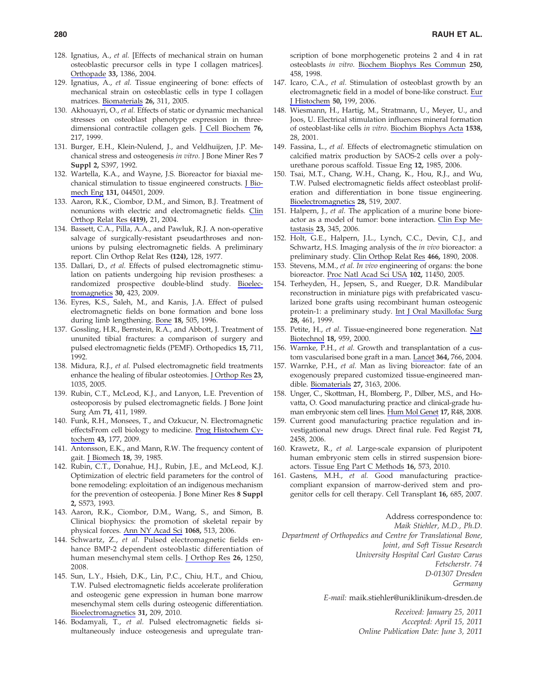- 128. Ignatius, A., et al. [Effects of mechanical strain on human osteoblastic precursor cells in type I collagen matrices]. Orthopade 33, 1386, 2004.
- 129. Ignatius, A., et al. Tissue engineering of bone: effects of mechanical strain on osteoblastic cells in type I collagen matrices. Biomaterials 26, 311, 2005.
- 130. Akhouayri, O., et al. Effects of static or dynamic mechanical stresses on osteoblast phenotype expression in threedimensional contractile collagen gels. J Cell Biochem 76, 217, 1999.
- 131. Burger, E.H., Klein-Nulend, J., and Veldhuijzen, J.P. Mechanical stress and osteogenesis in vitro. J Bone Miner Res 7 Suppl 2, S397, 1992.
- 132. Wartella, K.A., and Wayne, J.S. Bioreactor for biaxial mechanical stimulation to tissue engineered constructs. J Biomech Eng 131, 044501, 2009.
- 133. Aaron, R.K., Ciombor, D.M., and Simon, B.J. Treatment of nonunions with electric and electromagnetic fields. Clin Orthop Relat Res (419), 21, 2004.
- 134. Bassett, C.A., Pilla, A.A., and Pawluk, R.J. A non-operative salvage of surgically-resistant pseudarthroses and nonunions by pulsing electromagnetic fields. A preliminary report. Clin Orthop Relat Res (124), 128, 1977.
- 135. Dallari, D., et al. Effects of pulsed electromagnetic stimulation on patients undergoing hip revision prostheses: a randomized prospective double-blind study. Bioelectromagnetics 30, 423, 2009.
- 136. Eyres, K.S., Saleh, M., and Kanis, J.A. Effect of pulsed electromagnetic fields on bone formation and bone loss during limb lengthening. Bone 18, 505, 1996.
- 137. Gossling, H.R., Bernstein, R.A., and Abbott, J. Treatment of ununited tibial fractures: a comparison of surgery and pulsed electromagnetic fields (PEMF). Orthopedics 15, 711, 1992.
- 138. Midura, R.J., et al. Pulsed electromagnetic field treatments enhance the healing of fibular osteotomies. J Orthop Res 23, 1035, 2005.
- 139. Rubin, C.T., McLeod, K.J., and Lanyon, L.E. Prevention of osteoporosis by pulsed electromagnetic fields. J Bone Joint Surg Am 71, 411, 1989.
- 140. Funk, R.H., Monsees, T., and Ozkucur, N. Electromagnetic effectsFrom cell biology to medicine. Prog Histochem Cytochem 43, 177, 2009.
- 141. Antonsson, E.K., and Mann, R.W. The frequency content of gait. J Biomech 18, 39, 1985.
- 142. Rubin, C.T., Donahue, H.J., Rubin, J.E., and McLeod, K.J. Optimization of electric field parameters for the control of bone remodeling: exploitation of an indigenous mechanism for the prevention of osteopenia. J Bone Miner Res 8 Suppl 2, S573, 1993.
- 143. Aaron, R.K., Ciombor, D.M., Wang, S., and Simon, B. Clinical biophysics: the promotion of skeletal repair by physical forces. Ann NY Acad Sci 1068, 513, 2006.
- 144. Schwartz, Z., et al. Pulsed electromagnetic fields enhance BMP-2 dependent osteoblastic differentiation of human mesenchymal stem cells. J Orthop Res 26, 1250, 2008.
- 145. Sun, L.Y., Hsieh, D.K., Lin, P.C., Chiu, H.T., and Chiou, T.W. Pulsed electromagnetic fields accelerate proliferation and osteogenic gene expression in human bone marrow mesenchymal stem cells during osteogenic differentiation. Bioelectromagnetics 31, 209, 2010.
- 146. Bodamyali, T., et al. Pulsed electromagnetic fields simultaneously induce osteogenesis and upregulate tran-

scription of bone morphogenetic proteins 2 and 4 in rat osteoblasts in vitro. Biochem Biophys Res Commun 250, 458, 1998.

- 147. Icaro, C.A., et al. Stimulation of osteoblast growth by an electromagnetic field in a model of bone-like construct. Eur J Histochem 50, 199, 2006.
- 148. Wiesmann, H., Hartig, M., Stratmann, U., Meyer, U., and Joos, U. Electrical stimulation influences mineral formation of osteoblast-like cells in vitro. Biochim Biophys Acta 1538, 28, 2001.
- 149. Fassina, L., et al. Effects of electromagnetic stimulation on calcified matrix production by SAOS-2 cells over a polyurethane porous scaffold. Tissue Eng 12, 1985, 2006.
- 150. Tsai, M.T., Chang, W.H., Chang, K., Hou, R.J., and Wu, T.W. Pulsed electromagnetic fields affect osteoblast proliferation and differentiation in bone tissue engineering. Bioelectromagnetics 28, 519, 2007.
- 151. Halpern, J., et al. The application of a murine bone bioreactor as a model of tumor: bone interaction. Clin Exp Metastasis 23, 345, 2006.
- 152. Holt, G.E., Halpern, J.L., Lynch, C.C., Devin, C.J., and Schwartz, H.S. Imaging analysis of the *in vivo* bioreactor: a preliminary study. Clin Orthop Relat Res 466, 1890, 2008.
- 153. Stevens, M.M., et al. In vivo engineering of organs: the bone bioreactor. Proc Natl Acad Sci USA 102, 11450, 2005.
- 154. Terheyden, H., Jepsen, S., and Rueger, D.R. Mandibular reconstruction in miniature pigs with prefabricated vascularized bone grafts using recombinant human osteogenic protein-1: a preliminary study. Int J Oral Maxillofac Surg 28, 461, 1999.
- 155. Petite, H., et al. Tissue-engineered bone regeneration. Nat Biotechnol 18, 959, 2000.
- 156. Warnke, P.H., et al. Growth and transplantation of a custom vascularised bone graft in a man. Lancet 364, 766, 2004.
- 157. Warnke, P.H., et al. Man as living bioreactor: fate of an exogenously prepared customized tissue-engineered mandible. Biomaterials 27, 3163, 2006.
- 158. Unger, C., Skottman, H., Blomberg, P., Dilber, M.S., and Hovatta, O. Good manufacturing practice and clinical-grade human embryonic stem cell lines. Hum Mol Genet 17, R48, 2008.
- 159. Current good manufacturing practice regulation and investigational new drugs. Direct final rule. Fed Regist 71, 2458, 2006.
- 160. Krawetz, R., et al. Large-scale expansion of pluripotent human embryonic stem cells in stirred suspension bioreactors. Tissue Eng Part C Methods 16, 573, 2010.
- 161. Gastens, M.H., et al. Good manufacturing practicecompliant expansion of marrow-derived stem and progenitor cells for cell therapy. Cell Transplant 16, 685, 2007.

Address correspondence to: Maik Stiehler, M.D., Ph.D. Department of Orthopedics and Centre for Translational Bone, Joint, and Soft Tissue Research University Hospital Carl Gustav Carus Fetscherstr. 74 D-01307 Dresden Germany

E-mail: maik.stiehler@uniklinikum-dresden.de

Received: January 25, 2011 Accepted: April 15, 2011 Online Publication Date: June 3, 2011